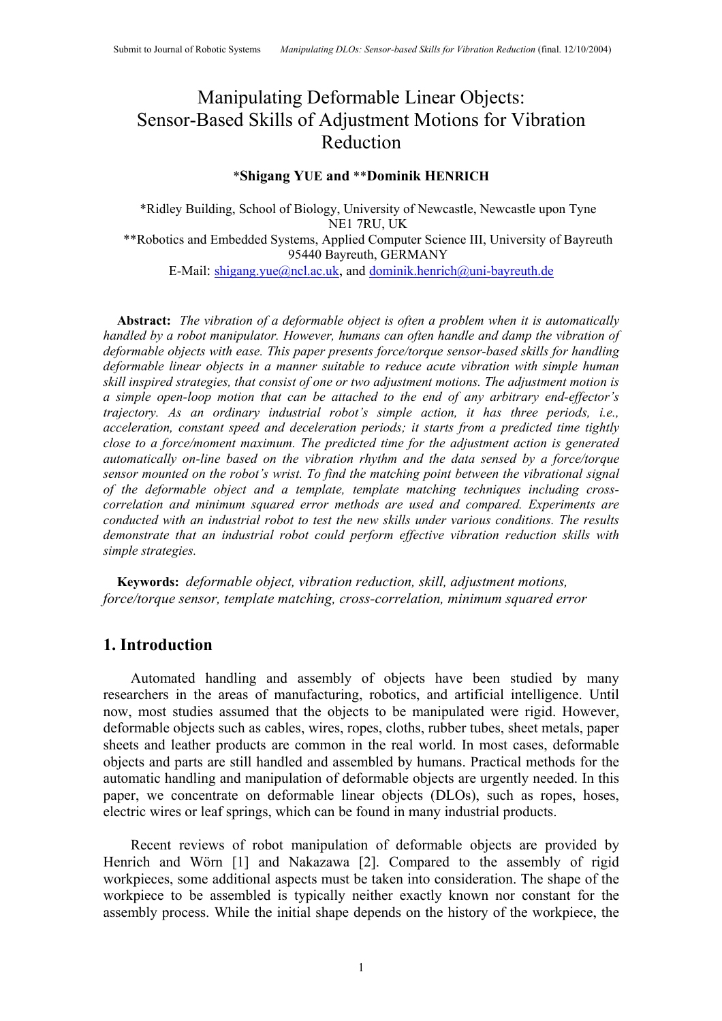# Manipulating Deformable Linear Objects: Sensor-Based Skills of Adjustment Motions for Vibration Reduction

## \***Shigang YUE and** \*\***Dominik HENRICH**

\*Ridley Building, School of Biology, University of Newcastle, Newcastle upon Tyne NE1 7RU, UK \*\*Robotics and Embedded Systems, Applied Computer Science III, University of Bayreuth 95440 Bayreuth, GERMANY E-Mail: shigang.yue@ncl.ac.uk, and dominik.henrich@uni-bayreuth.de

**Abstract:** *The vibration of a deformable object is often a problem when it is automatically handled by a robot manipulator. However, humans can often handle and damp the vibration of deformable objects with ease. This paper presents force/torque sensor-based skills for handling deformable linear objects in a manner suitable to reduce acute vibration with simple human skill inspired strategies, that consist of one or two adjustment motions. The adjustment motion is a simple open-loop motion that can be attached to the end of any arbitrary end-effector's trajectory. As an ordinary industrial robot's simple action, it has three periods, i.e., acceleration, constant speed and deceleration periods; it starts from a predicted time tightly close to a force/moment maximum. The predicted time for the adjustment action is generated automatically on-line based on the vibration rhythm and the data sensed by a force/torque sensor mounted on the robot's wrist. To find the matching point between the vibrational signal of the deformable object and a template, template matching techniques including crosscorrelation and minimum squared error methods are used and compared. Experiments are conducted with an industrial robot to test the new skills under various conditions. The results demonstrate that an industrial robot could perform effective vibration reduction skills with simple strategies.*

**Keywords:** *deformable object, vibration reduction, skill, adjustment motions, force/torque sensor, template matching, cross-correlation, minimum squared error*

# **1. Introduction**

Automated handling and assembly of objects have been studied by many researchers in the areas of manufacturing, robotics, and artificial intelligence. Until now, most studies assumed that the objects to be manipulated were rigid. However, deformable objects such as cables, wires, ropes, cloths, rubber tubes, sheet metals, paper sheets and leather products are common in the real world. In most cases, deformable objects and parts are still handled and assembled by humans. Practical methods for the automatic handling and manipulation of deformable objects are urgently needed. In this paper, we concentrate on deformable linear objects (DLOs), such as ropes, hoses, electric wires or leaf springs, which can be found in many industrial products.

Recent reviews of robot manipulation of deformable objects are provided by Henrich and Wörn [1] and Nakazawa [2]. Compared to the assembly of rigid workpieces, some additional aspects must be taken into consideration. The shape of the workpiece to be assembled is typically neither exactly known nor constant for the assembly process. While the initial shape depends on the history of the workpiece, the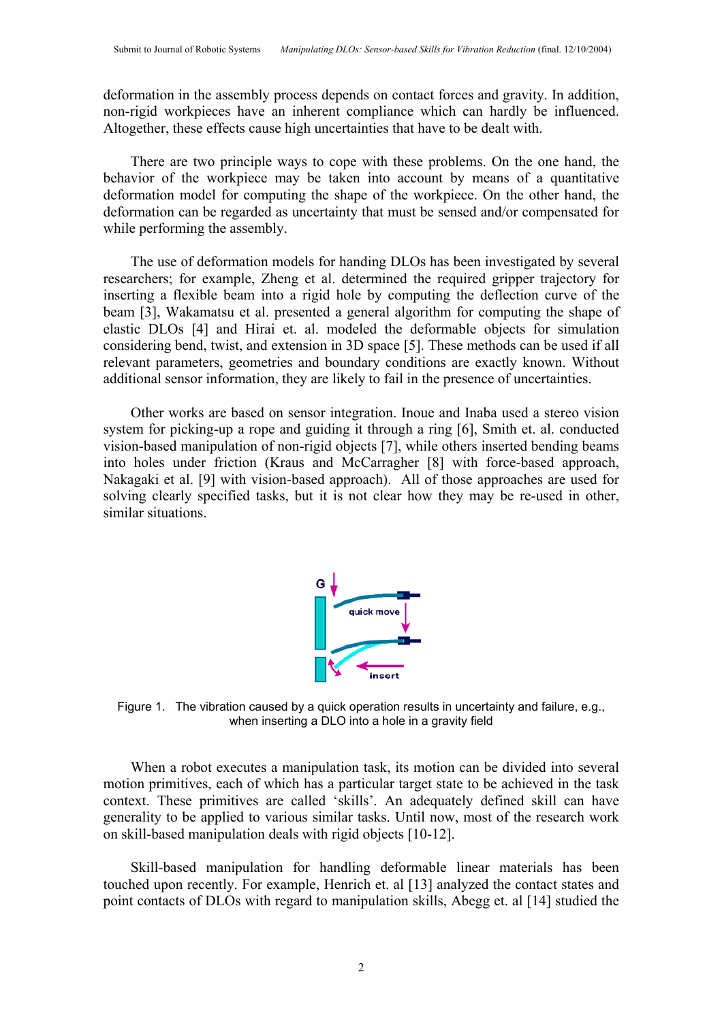deformation in the assembly process depends on contact forces and gravity. In addition, non-rigid workpieces have an inherent compliance which can hardly be influenced. Altogether, these effects cause high uncertainties that have to be dealt with.

There are two principle ways to cope with these problems. On the one hand, the behavior of the workpiece may be taken into account by means of a quantitative deformation model for computing the shape of the workpiece. On the other hand, the deformation can be regarded as uncertainty that must be sensed and/or compensated for while performing the assembly.

The use of deformation models for handing DLOs has been investigated by several researchers; for example, Zheng et al. determined the required gripper trajectory for inserting a flexible beam into a rigid hole by computing the deflection curve of the beam [3], Wakamatsu et al. presented a general algorithm for computing the shape of elastic DLOs [4] and Hirai et. al. modeled the deformable objects for simulation considering bend, twist, and extension in 3D space [5]. These methods can be used if all relevant parameters, geometries and boundary conditions are exactly known. Without additional sensor information, they are likely to fail in the presence of uncertainties.

Other works are based on sensor integration. Inoue and Inaba used a stereo vision system for picking-up a rope and guiding it through a ring [6], Smith et. al. conducted vision-based manipulation of non-rigid objects [7], while others inserted bending beams into holes under friction (Kraus and McCarragher [8] with force-based approach, Nakagaki et al. [9] with vision-based approach). All of those approaches are used for solving clearly specified tasks, but it is not clear how they may be re-used in other, similar situations.



Figure 1. The vibration caused by a quick operation results in uncertainty and failure, e.g., when inserting a DLO into a hole in a gravity field

When a robot executes a manipulation task, its motion can be divided into several motion primitives, each of which has a particular target state to be achieved in the task context. These primitives are called 'skills'. An adequately defined skill can have generality to be applied to various similar tasks. Until now, most of the research work on skill-based manipulation deals with rigid objects [10-12].

Skill-based manipulation for handling deformable linear materials has been touched upon recently. For example, Henrich et. al [13] analyzed the contact states and point contacts of DLOs with regard to manipulation skills, Abegg et. al [14] studied the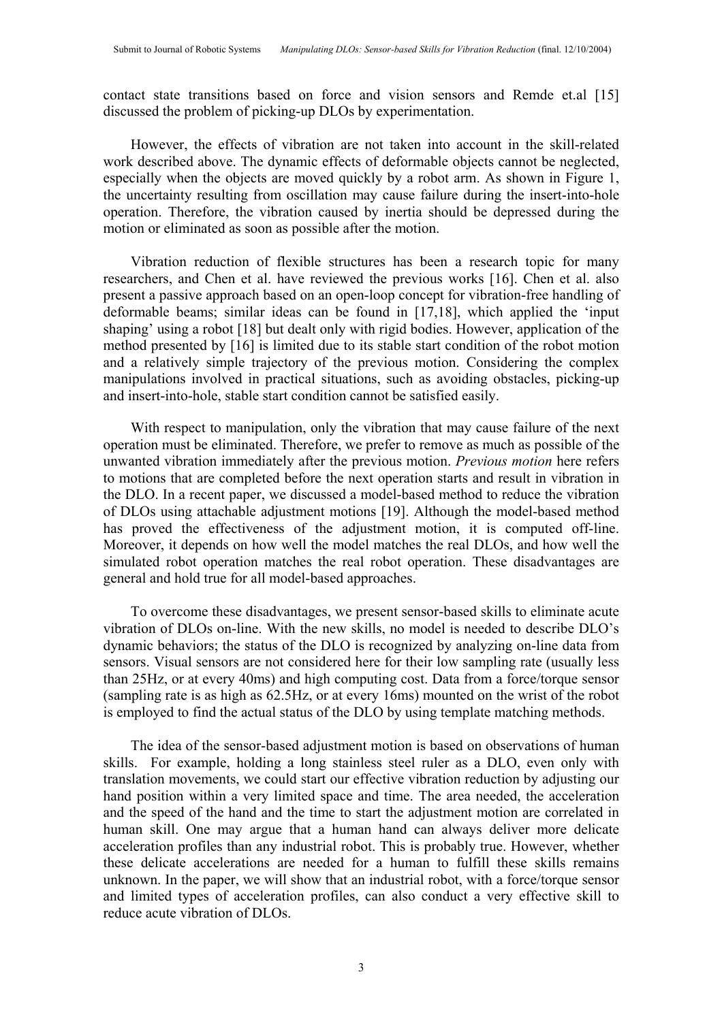contact state transitions based on force and vision sensors and Remde et.al [15] discussed the problem of picking-up DLOs by experimentation.

However, the effects of vibration are not taken into account in the skill-related work described above. The dynamic effects of deformable objects cannot be neglected, especially when the objects are moved quickly by a robot arm. As shown in Figure 1, the uncertainty resulting from oscillation may cause failure during the insert-into-hole operation. Therefore, the vibration caused by inertia should be depressed during the motion or eliminated as soon as possible after the motion.

Vibration reduction of flexible structures has been a research topic for many researchers, and Chen et al. have reviewed the previous works [16]. Chen et al. also present a passive approach based on an open-loop concept for vibration-free handling of deformable beams; similar ideas can be found in [17,18], which applied the 'input shaping' using a robot [18] but dealt only with rigid bodies. However, application of the method presented by [16] is limited due to its stable start condition of the robot motion and a relatively simple trajectory of the previous motion. Considering the complex manipulations involved in practical situations, such as avoiding obstacles, picking-up and insert-into-hole, stable start condition cannot be satisfied easily.

With respect to manipulation, only the vibration that may cause failure of the next operation must be eliminated. Therefore, we prefer to remove as much as possible of the unwanted vibration immediately after the previous motion. *Previous motion* here refers to motions that are completed before the next operation starts and result in vibration in the DLO. In a recent paper, we discussed a model-based method to reduce the vibration of DLOs using attachable adjustment motions [19]. Although the model-based method has proved the effectiveness of the adjustment motion, it is computed off-line. Moreover, it depends on how well the model matches the real DLOs, and how well the simulated robot operation matches the real robot operation. These disadvantages are general and hold true for all model-based approaches.

To overcome these disadvantages, we present sensor-based skills to eliminate acute vibration of DLOs on-line. With the new skills, no model is needed to describe DLO's dynamic behaviors; the status of the DLO is recognized by analyzing on-line data from sensors. Visual sensors are not considered here for their low sampling rate (usually less than 25Hz, or at every 40ms) and high computing cost. Data from a force/torque sensor (sampling rate is as high as 62.5Hz, or at every 16ms) mounted on the wrist of the robot is employed to find the actual status of the DLO by using template matching methods.

The idea of the sensor-based adjustment motion is based on observations of human skills. For example, holding a long stainless steel ruler as a DLO, even only with translation movements, we could start our effective vibration reduction by adjusting our hand position within a very limited space and time. The area needed, the acceleration and the speed of the hand and the time to start the adjustment motion are correlated in human skill. One may argue that a human hand can always deliver more delicate acceleration profiles than any industrial robot. This is probably true. However, whether these delicate accelerations are needed for a human to fulfill these skills remains unknown. In the paper, we will show that an industrial robot, with a force/torque sensor and limited types of acceleration profiles, can also conduct a very effective skill to reduce acute vibration of DLOs.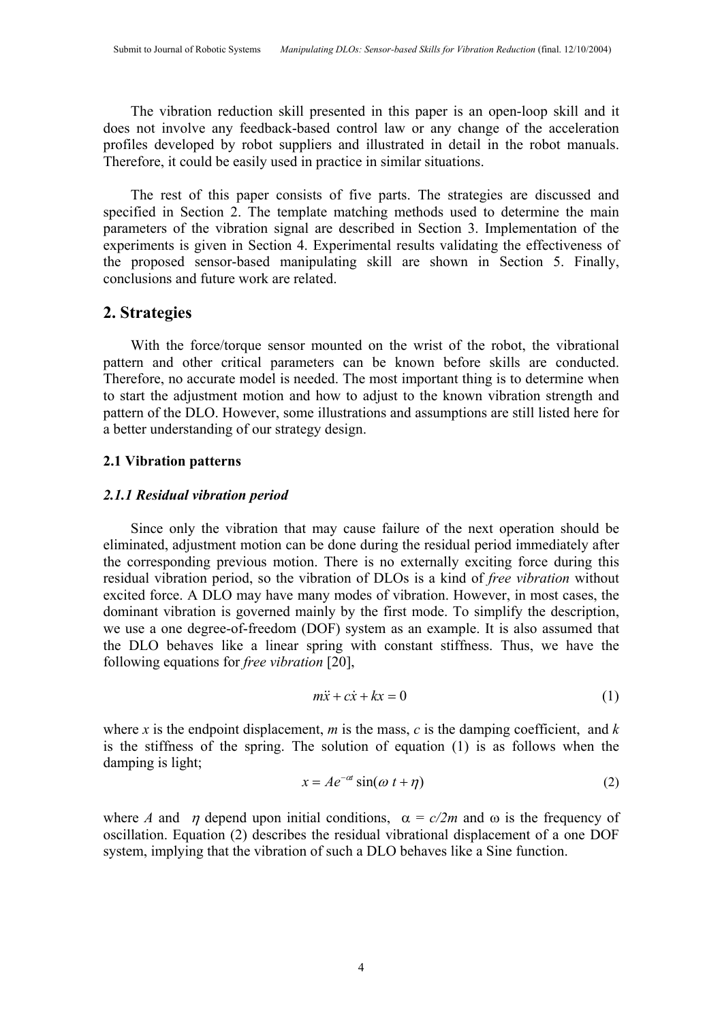The vibration reduction skill presented in this paper is an open-loop skill and it does not involve any feedback-based control law or any change of the acceleration profiles developed by robot suppliers and illustrated in detail in the robot manuals. Therefore, it could be easily used in practice in similar situations.

The rest of this paper consists of five parts. The strategies are discussed and specified in Section 2. The template matching methods used to determine the main parameters of the vibration signal are described in Section 3. Implementation of the experiments is given in Section 4. Experimental results validating the effectiveness of the proposed sensor-based manipulating skill are shown in Section 5. Finally, conclusions and future work are related.

# **2. Strategies**

With the force/torque sensor mounted on the wrist of the robot, the vibrational pattern and other critical parameters can be known before skills are conducted. Therefore, no accurate model is needed. The most important thing is to determine when to start the adjustment motion and how to adjust to the known vibration strength and pattern of the DLO. However, some illustrations and assumptions are still listed here for a better understanding of our strategy design.

# **2.1 Vibration patterns**

# *2.1.1 Residual vibration period*

Since only the vibration that may cause failure of the next operation should be eliminated, adjustment motion can be done during the residual period immediately after the corresponding previous motion. There is no externally exciting force during this residual vibration period, so the vibration of DLOs is a kind of *free vibration* without excited force. A DLO may have many modes of vibration. However, in most cases, the dominant vibration is governed mainly by the first mode. To simplify the description, we use a one degree-of-freedom (DOF) system as an example. It is also assumed that the DLO behaves like a linear spring with constant stiffness. Thus, we have the following equations for *free vibration* [20],

$$
m\ddot{x} + c\dot{x} + kx = 0 \tag{1}
$$

where  $x$  is the endpoint displacement,  $m$  is the mass,  $c$  is the damping coefficient, and  $k$ is the stiffness of the spring. The solution of equation (1) is as follows when the damping is light;

$$
x = Ae^{-\alpha t} \sin(\omega t + \eta)
$$
 (2)

where *A* and  $\eta$  depend upon initial conditions,  $\alpha = c/2m$  and  $\omega$  is the frequency of oscillation. Equation (2) describes the residual vibrational displacement of a one DOF system, implying that the vibration of such a DLO behaves like a Sine function.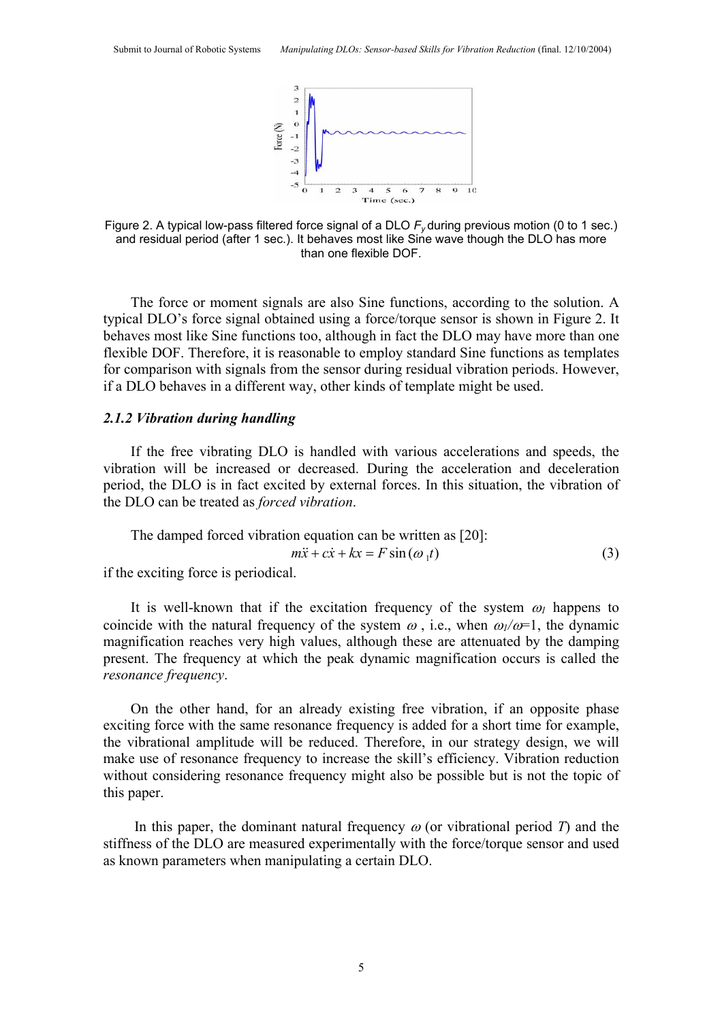

Figure 2. A typical low-pass filtered force signal of a DLO *Fy* during previous motion (0 to 1 sec.) and residual period (after 1 sec.). It behaves most like Sine wave though the DLO has more than one flexible DOF.

The force or moment signals are also Sine functions, according to the solution. A typical DLO's force signal obtained using a force/torque sensor is shown in Figure 2. It behaves most like Sine functions too, although in fact the DLO may have more than one flexible DOF. Therefore, it is reasonable to employ standard Sine functions as templates for comparison with signals from the sensor during residual vibration periods. However, if a DLO behaves in a different way, other kinds of template might be used.

# *2.1.2 Vibration during handling*

If the free vibrating DLO is handled with various accelerations and speeds, the vibration will be increased or decreased. During the acceleration and deceleration period, the DLO is in fact excited by external forces. In this situation, the vibration of the DLO can be treated as *forced vibration*.

The damped forced vibration equation can be written as [20]:  
\n
$$
m\ddot{x} + c\dot{x} + kx = F \sin(\omega_1 t)
$$
\n(3)

if the exciting force is periodical.

It is well-known that if the excitation frequency of the system  $\omega_l$  happens to coincide with the natural frequency of the system  $\omega$ , i.e., when  $\omega_l/\omega=1$ , the dynamic magnification reaches very high values, although these are attenuated by the damping present. The frequency at which the peak dynamic magnification occurs is called the *resonance frequency*.

On the other hand, for an already existing free vibration, if an opposite phase exciting force with the same resonance frequency is added for a short time for example, the vibrational amplitude will be reduced. Therefore, in our strategy design, we will make use of resonance frequency to increase the skill's efficiency. Vibration reduction without considering resonance frequency might also be possible but is not the topic of this paper.

In this paper, the dominant natural frequency  $\omega$  (or vibrational period *T*) and the stiffness of the DLO are measured experimentally with the force/torque sensor and used as known parameters when manipulating a certain DLO.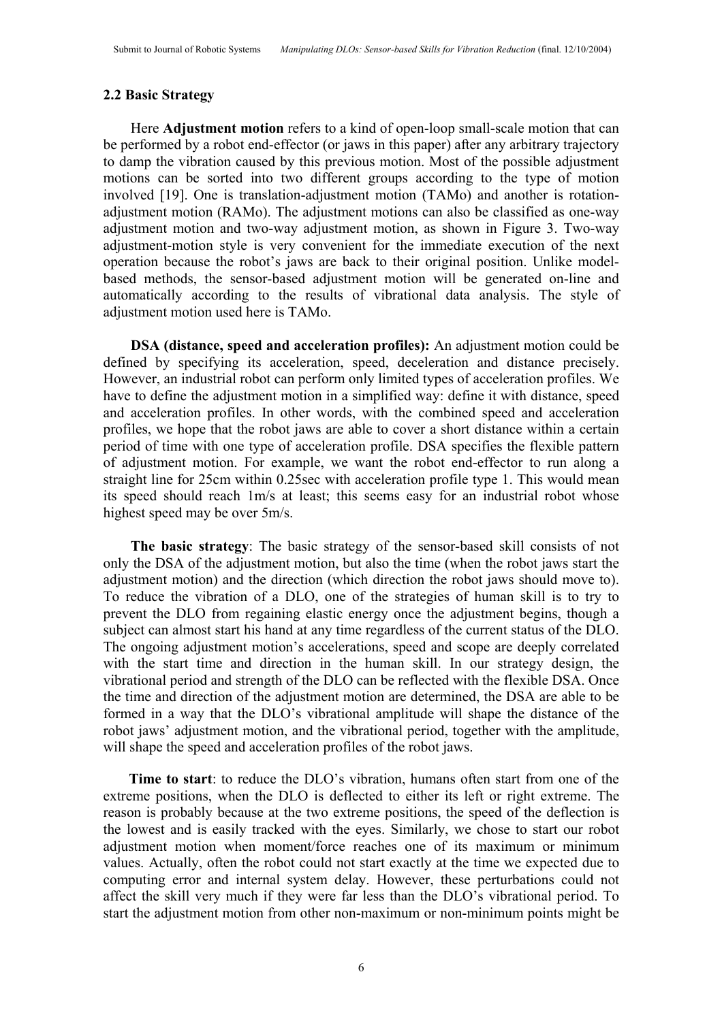# **2.2 Basic Strategy**

Here **Adjustment motion** refers to a kind of open-loop small-scale motion that can be performed by a robot end-effector (or jaws in this paper) after any arbitrary trajectory to damp the vibration caused by this previous motion. Most of the possible adjustment motions can be sorted into two different groups according to the type of motion involved [19]. One is translation-adjustment motion (TAMo) and another is rotationadjustment motion (RAMo). The adjustment motions can also be classified as one-way adjustment motion and two-way adjustment motion, as shown in Figure 3. Two-way adjustment-motion style is very convenient for the immediate execution of the next operation because the robot's jaws are back to their original position. Unlike modelbased methods, the sensor-based adjustment motion will be generated on-line and automatically according to the results of vibrational data analysis. The style of adjustment motion used here is TAMo.

**DSA (distance, speed and acceleration profiles):** An adjustment motion could be defined by specifying its acceleration, speed, deceleration and distance precisely. However, an industrial robot can perform only limited types of acceleration profiles. We have to define the adjustment motion in a simplified way: define it with distance, speed and acceleration profiles. In other words, with the combined speed and acceleration profiles, we hope that the robot jaws are able to cover a short distance within a certain period of time with one type of acceleration profile. DSA specifies the flexible pattern of adjustment motion. For example, we want the robot end-effector to run along a straight line for 25cm within 0.25sec with acceleration profile type 1. This would mean its speed should reach 1m/s at least; this seems easy for an industrial robot whose highest speed may be over 5m/s.

**The basic strategy**: The basic strategy of the sensor-based skill consists of not only the DSA of the adjustment motion, but also the time (when the robot jaws start the adjustment motion) and the direction (which direction the robot jaws should move to). To reduce the vibration of a DLO, one of the strategies of human skill is to try to prevent the DLO from regaining elastic energy once the adjustment begins, though a subject can almost start his hand at any time regardless of the current status of the DLO. The ongoing adjustment motion's accelerations, speed and scope are deeply correlated with the start time and direction in the human skill. In our strategy design, the vibrational period and strength of the DLO can be reflected with the flexible DSA. Once the time and direction of the adjustment motion are determined, the DSA are able to be formed in a way that the DLO's vibrational amplitude will shape the distance of the robot jaws' adjustment motion, and the vibrational period, together with the amplitude, will shape the speed and acceleration profiles of the robot jaws.

**Time to start**: to reduce the DLO's vibration, humans often start from one of the extreme positions, when the DLO is deflected to either its left or right extreme. The reason is probably because at the two extreme positions, the speed of the deflection is the lowest and is easily tracked with the eyes. Similarly, we chose to start our robot adjustment motion when moment/force reaches one of its maximum or minimum values. Actually, often the robot could not start exactly at the time we expected due to computing error and internal system delay. However, these perturbations could not affect the skill very much if they were far less than the DLO's vibrational period. To start the adjustment motion from other non-maximum or non-minimum points might be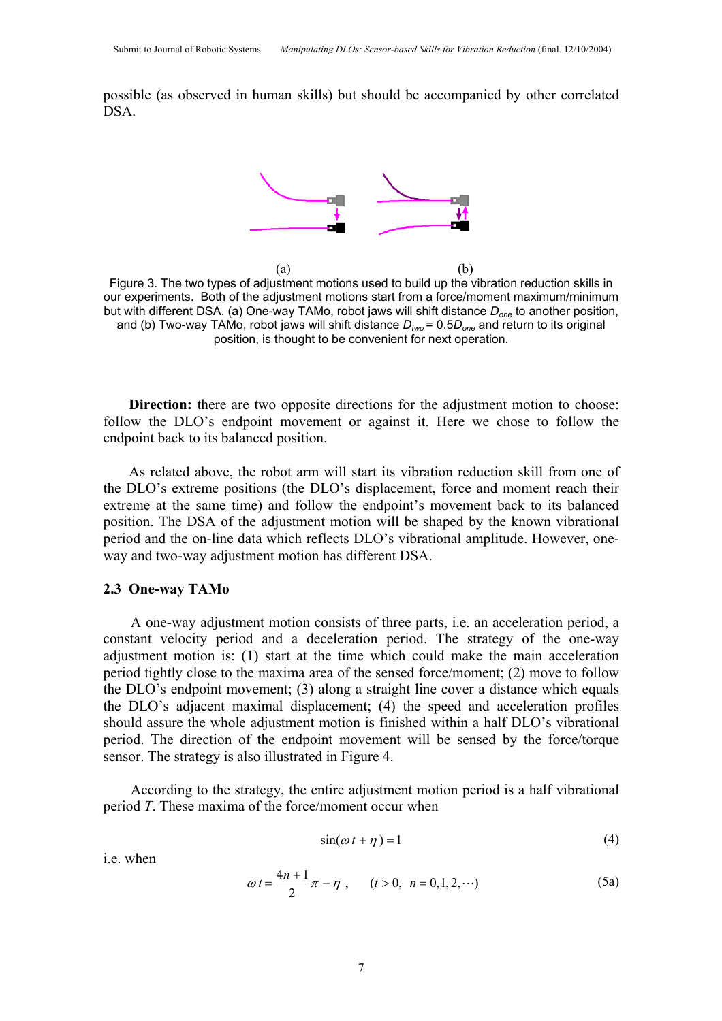possible (as observed in human skills) but should be accompanied by other correlated DSA.



 $(a)$  (b) Figure 3. The two types of adjustment motions used to build up the vibration reduction skills in our experiments. Both of the adjustment motions start from a force/moment maximum/minimum but with different DSA. (a) One-way TAMo, robot jaws will shift distance *Done* to another position, and (b) Two-way TAMo, robot jaws will shift distance *Dtwo* = 0.5*Done* and return to its original position, is thought to be convenient for next operation.

**Direction:** there are two opposite directions for the adjustment motion to choose: follow the DLO's endpoint movement or against it. Here we chose to follow the endpoint back to its balanced position.

As related above, the robot arm will start its vibration reduction skill from one of the DLO's extreme positions (the DLO's displacement, force and moment reach their extreme at the same time) and follow the endpoint's movement back to its balanced position. The DSA of the adjustment motion will be shaped by the known vibrational period and the on-line data which reflects DLO's vibrational amplitude. However, oneway and two-way adjustment motion has different DSA.

#### **2.3 One-way TAMo**

A one-way adjustment motion consists of three parts, i.e. an acceleration period, a constant velocity period and a deceleration period. The strategy of the one-way adjustment motion is: (1) start at the time which could make the main acceleration period tightly close to the maxima area of the sensed force/moment; (2) move to follow the DLO's endpoint movement; (3) along a straight line cover a distance which equals the DLO's adjacent maximal displacement; (4) the speed and acceleration profiles should assure the whole adjustment motion is finished within a half DLO's vibrational period. The direction of the endpoint movement will be sensed by the force/torque sensor. The strategy is also illustrated in Figure 4.

According to the strategy, the entire adjustment motion period is a half vibrational period *T*. These maxima of the force/moment occur when

$$
\sin(\omega t + \eta) = 1\tag{4}
$$

i.e. when

$$
\omega t = \frac{4n+1}{2}\pi - \eta \ , \qquad (t > 0, \ n = 0, 1, 2, \cdots) \tag{5a}
$$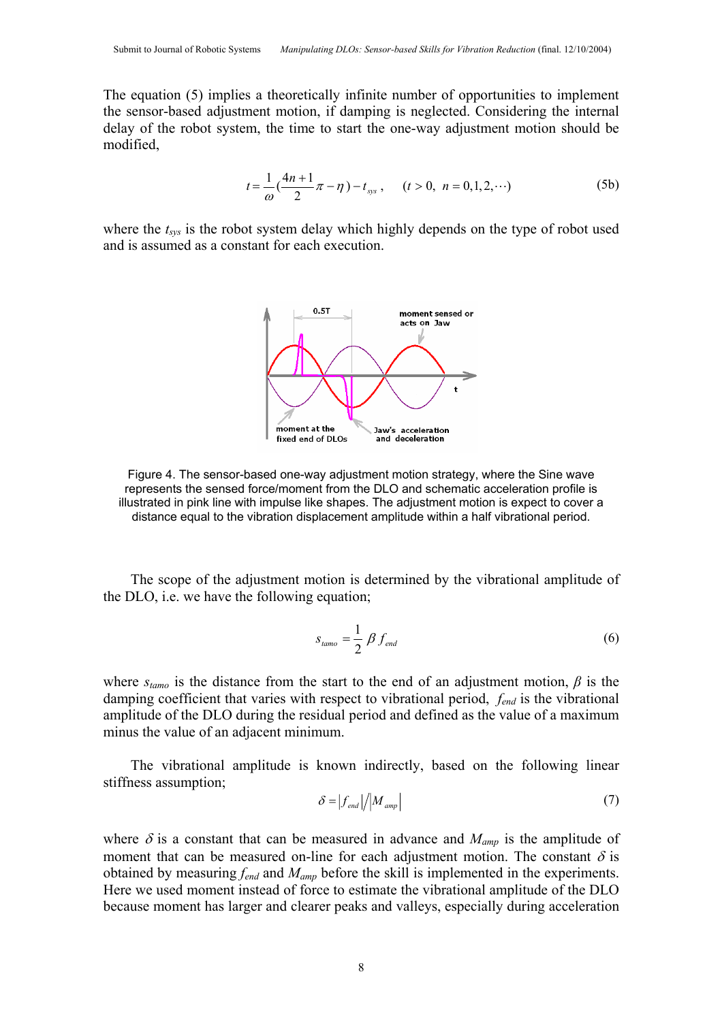The equation (5) implies a theoretically infinite number of opportunities to implement the sensor-based adjustment motion, if damping is neglected. Considering the internal delay of the robot system, the time to start the one-way adjustment motion should be modified,

$$
t = \frac{1}{\omega} \left( \frac{4n+1}{2} \pi - \eta \right) - t_{\text{sys}} \,, \qquad (t > 0, \ n = 0, 1, 2, \cdots) \tag{5b}
$$

where the  $t_{sys}$  is the robot system delay which highly depends on the type of robot used and is assumed as a constant for each execution.



Figure 4. The sensor-based one-way adjustment motion strategy, where the Sine wave represents the sensed force/moment from the DLO and schematic acceleration profile is illustrated in pink line with impulse like shapes. The adjustment motion is expect to cover a distance equal to the vibration displacement amplitude within a half vibrational period.

The scope of the adjustment motion is determined by the vibrational amplitude of the DLO, i.e. we have the following equation;

$$
s_{\text{tamo}} = \frac{1}{2} \beta f_{\text{end}} \tag{6}
$$

where  $s_{tamo}$  is the distance from the start to the end of an adjustment motion,  $\beta$  is the damping coefficient that varies with respect to vibrational period, *fend* is the vibrational amplitude of the DLO during the residual period and defined as the value of a maximum minus the value of an adjacent minimum.

The vibrational amplitude is known indirectly, based on the following linear stiffness assumption;

$$
\delta = |f_{end}| / |M_{amp}| \tag{7}
$$

where  $\delta$  is a constant that can be measured in advance and  $M_{amp}$  is the amplitude of moment that can be measured on-line for each adjustment motion. The constant  $\delta$  is obtained by measuring *fend* and *Mamp* before the skill is implemented in the experiments. Here we used moment instead of force to estimate the vibrational amplitude of the DLO because moment has larger and clearer peaks and valleys, especially during acceleration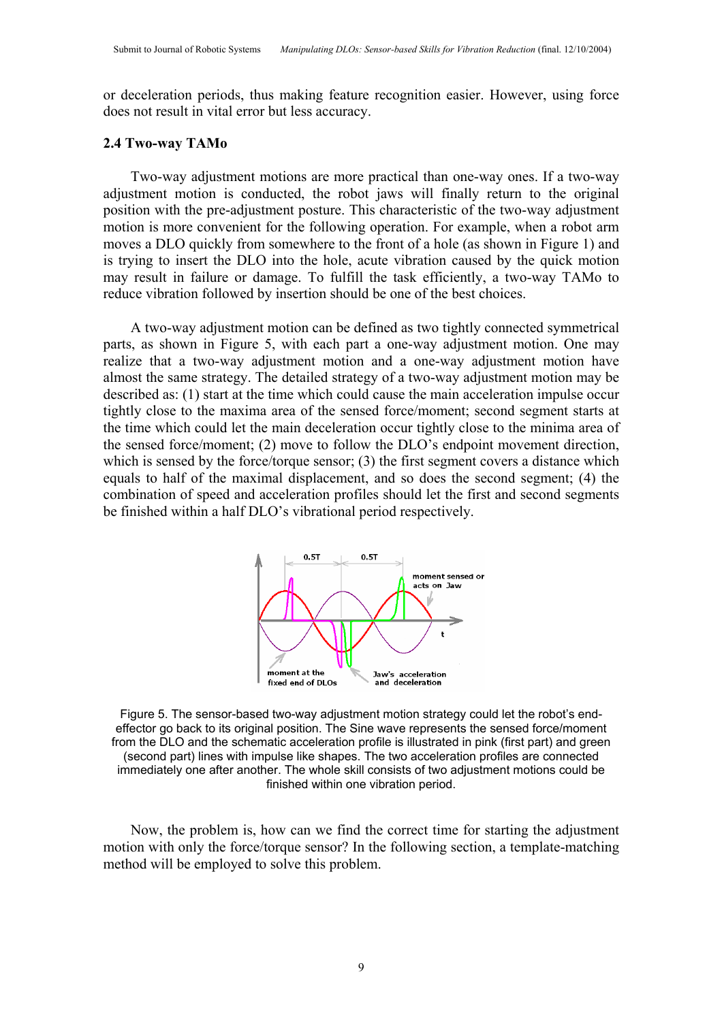or deceleration periods, thus making feature recognition easier. However, using force does not result in vital error but less accuracy.

## **2.4 Two-way TAMo**

Two-way adjustment motions are more practical than one-way ones. If a two-way adjustment motion is conducted, the robot jaws will finally return to the original position with the pre-adjustment posture. This characteristic of the two-way adjustment motion is more convenient for the following operation. For example, when a robot arm moves a DLO quickly from somewhere to the front of a hole (as shown in Figure 1) and is trying to insert the DLO into the hole, acute vibration caused by the quick motion may result in failure or damage. To fulfill the task efficiently, a two-way TAMo to reduce vibration followed by insertion should be one of the best choices.

A two-way adjustment motion can be defined as two tightly connected symmetrical parts, as shown in Figure 5, with each part a one-way adjustment motion. One may realize that a two-way adjustment motion and a one-way adjustment motion have almost the same strategy. The detailed strategy of a two-way adjustment motion may be described as: (1) start at the time which could cause the main acceleration impulse occur tightly close to the maxima area of the sensed force/moment; second segment starts at the time which could let the main deceleration occur tightly close to the minima area of the sensed force/moment; (2) move to follow the DLO's endpoint movement direction, which is sensed by the force/torque sensor; (3) the first segment covers a distance which equals to half of the maximal displacement, and so does the second segment; (4) the combination of speed and acceleration profiles should let the first and second segments be finished within a half DLO's vibrational period respectively.



Figure 5. The sensor-based two-way adjustment motion strategy could let the robot's endeffector go back to its original position. The Sine wave represents the sensed force/moment from the DLO and the schematic acceleration profile is illustrated in pink (first part) and green (second part) lines with impulse like shapes. The two acceleration profiles are connected immediately one after another. The whole skill consists of two adjustment motions could be finished within one vibration period.

Now, the problem is, how can we find the correct time for starting the adjustment motion with only the force/torque sensor? In the following section, a template-matching method will be employed to solve this problem.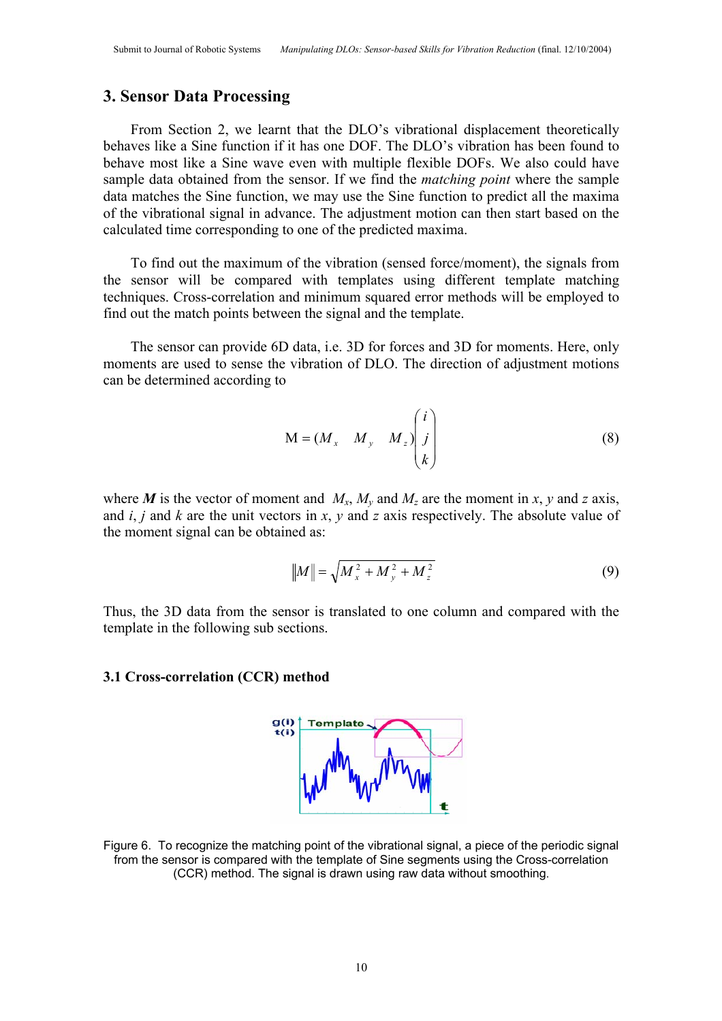# **3. Sensor Data Processing**

From Section 2, we learnt that the DLO's vibrational displacement theoretically behaves like a Sine function if it has one DOF. The DLO's vibration has been found to behave most like a Sine wave even with multiple flexible DOFs. We also could have sample data obtained from the sensor. If we find the *matching point* where the sample data matches the Sine function, we may use the Sine function to predict all the maxima of the vibrational signal in advance. The adjustment motion can then start based on the calculated time corresponding to one of the predicted maxima.

To find out the maximum of the vibration (sensed force/moment), the signals from the sensor will be compared with templates using different template matching techniques. Cross-correlation and minimum squared error methods will be employed to find out the match points between the signal and the template.

The sensor can provide 6D data, i.e. 3D for forces and 3D for moments. Here, only moments are used to sense the vibration of DLO. The direction of adjustment motions can be determined according to

$$
M = (M_x \quad M_y \quad M_z) \begin{pmatrix} i \\ j \\ k \end{pmatrix}
$$
 (8)

where *M* is the vector of moment and  $M_x$ ,  $M_y$  and  $M_z$  are the moment in *x*, *y* and *z* axis, and *i*, *j* and *k* are the unit vectors in *x*, *y* and *z* axis respectively. The absolute value of the moment signal can be obtained as:

$$
||M|| = \sqrt{M_x^2 + M_y^2 + M_z^2}
$$
 (9)

Thus, the 3D data from the sensor is translated to one column and compared with the template in the following sub sections.

#### **3.1 Cross-correlation (CCR) method**



Figure 6. To recognize the matching point of the vibrational signal, a piece of the periodic signal from the sensor is compared with the template of Sine segments using the Cross-correlation (CCR) method. The signal is drawn using raw data without smoothing.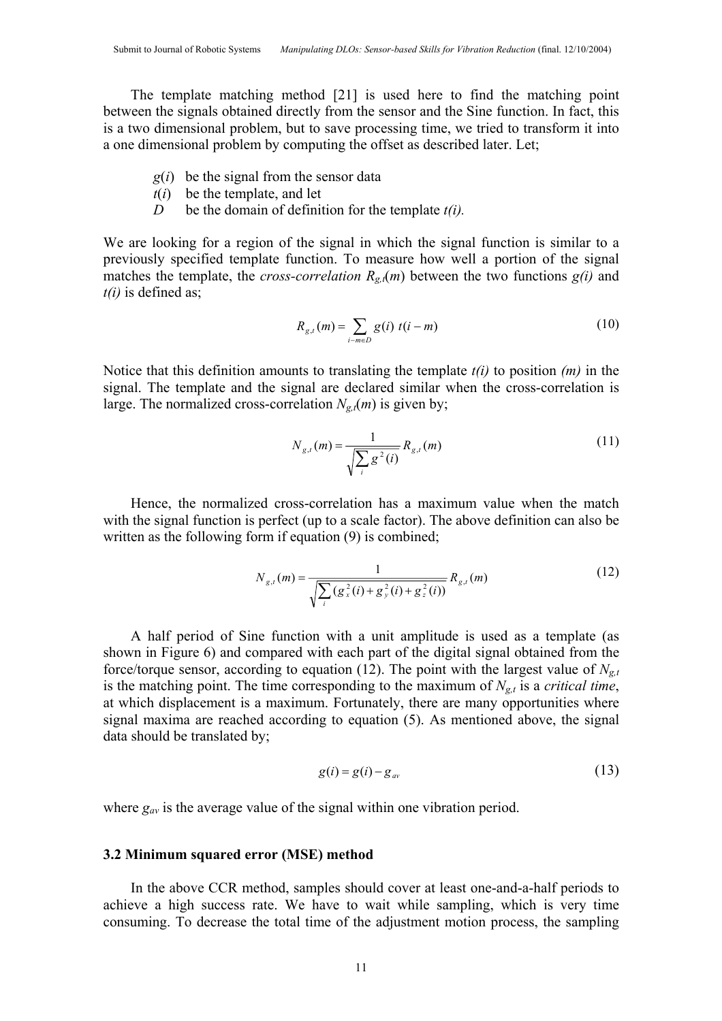The template matching method [21] is used here to find the matching point between the signals obtained directly from the sensor and the Sine function. In fact, this is a two dimensional problem, but to save processing time, we tried to transform it into a one dimensional problem by computing the offset as described later. Let;

- *g*(*i*) be the signal from the sensor data
- $t(i)$  be the template, and let
- *D* be the domain of definition for the template *t(i).*

We are looking for a region of the signal in which the signal function is similar to a previously specified template function. To measure how well a portion of the signal matches the template, the *cross-correlation*  $R_{g,t}(m)$  between the two functions  $g(i)$  and *t(i)* is defined as;

$$
R_{g,t}(m) = \sum_{i-m \in D} g(i) \ t(i-m)
$$
 (10)

Notice that this definition amounts to translating the template *t(i)* to position *(m)* in the signal. The template and the signal are declared similar when the cross-correlation is large. The normalized cross-correlation  $N_{g,t}(m)$  is given by;

$$
N_{g,t}(m) = \frac{1}{\sqrt{\sum_{i} g^{2}(i)}} R_{g,t}(m)
$$
\n(11)

Hence, the normalized cross-correlation has a maximum value when the match with the signal function is perfect (up to a scale factor). The above definition can also be written as the following form if equation (9) is combined;

$$
N_{g,t}(m) = \frac{1}{\sqrt{\sum_{i} (g_x^2(i) + g_y^2(i) + g_z^2(i))}} R_{g,t}(m)
$$
(12)

A half period of Sine function with a unit amplitude is used as a template (as shown in Figure 6) and compared with each part of the digital signal obtained from the force/torque sensor, according to equation (12). The point with the largest value of  $N_{\sigma}$ is the matching point. The time corresponding to the maximum of  $N_{g,t}$  is a *critical time*, at which displacement is a maximum. Fortunately, there are many opportunities where signal maxima are reached according to equation (5). As mentioned above, the signal data should be translated by;

$$
g(i) = g(i) - g_{av} \tag{13}
$$

where  $g_{av}$  is the average value of the signal within one vibration period.

### **3.2 Minimum squared error (MSE) method**

In the above CCR method, samples should cover at least one-and-a-half periods to achieve a high success rate. We have to wait while sampling, which is very time consuming. To decrease the total time of the adjustment motion process, the sampling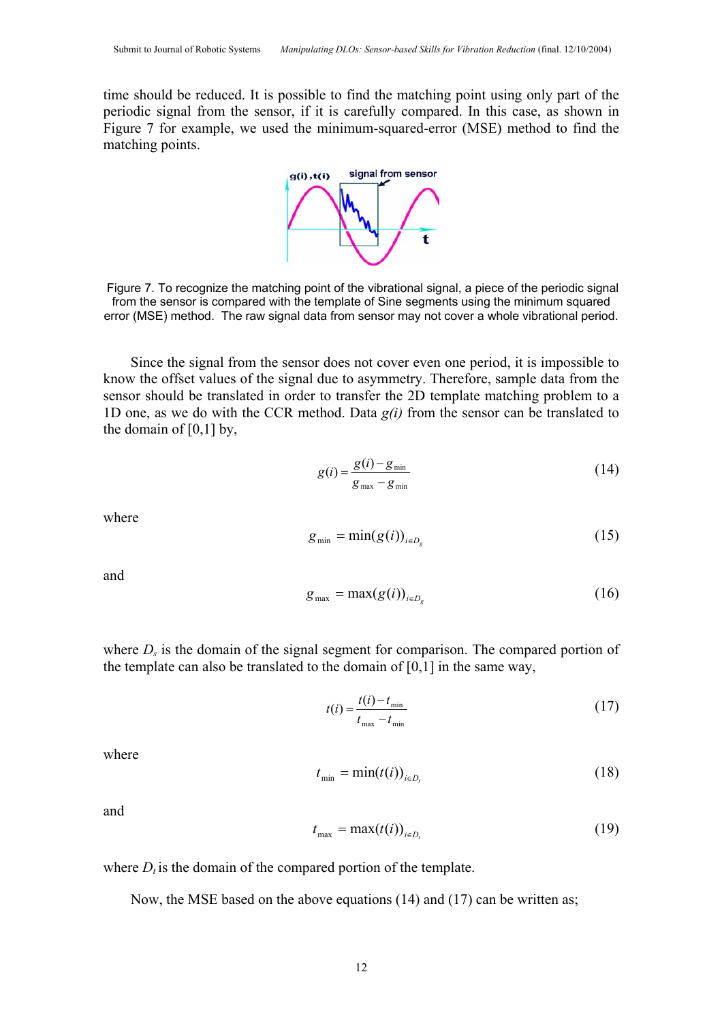time should be reduced. It is possible to find the matching point using only part of the periodic signal from the sensor, if it is carefully compared. In this case, as shown in Figure 7 for example, we used the minimum-squared-error (MSE) method to find the matching points.



Figure 7. To recognize the matching point of the vibrational signal, a piece of the periodic signal from the sensor is compared with the template of Sine segments using the minimum squared error (MSE) method. The raw signal data from sensor may not cover a whole vibrational period.

Since the signal from the sensor does not cover even one period, it is impossible to know the offset values of the signal due to asymmetry. Therefore, sample data from the sensor should be translated in order to transfer the 2D template matching problem to a 1D one, as we do with the CCR method. Data *g(i)* from the sensor can be translated to the domain of [0,1] by,

$$
g(i) = \frac{g(i) - g_{\min}}{g_{\max} - g_{\min}}
$$
\n(14)

where

$$
g_{\min} = \min(g(i))_{i \in D_g} \tag{15}
$$

and

$$
g_{\max} = \max(g(i))_{i \in D_g} \tag{16}
$$

where  $D<sub>s</sub>$  is the domain of the signal segment for comparison. The compared portion of the template can also be translated to the domain of [0,1] in the same way,

$$
t(i) = \frac{t(i) - t_{\min}}{t_{\max} - t_{\min}}
$$
\n(17)

where

$$
t_{\min} = \min(t(i))_{i \in D_t} \tag{18}
$$

and

$$
t_{\max} = \max(t(i))_{i \in D_t} \tag{19}
$$

where  $D_t$  is the domain of the compared portion of the template.

Now, the MSE based on the above equations (14) and (17) can be written as;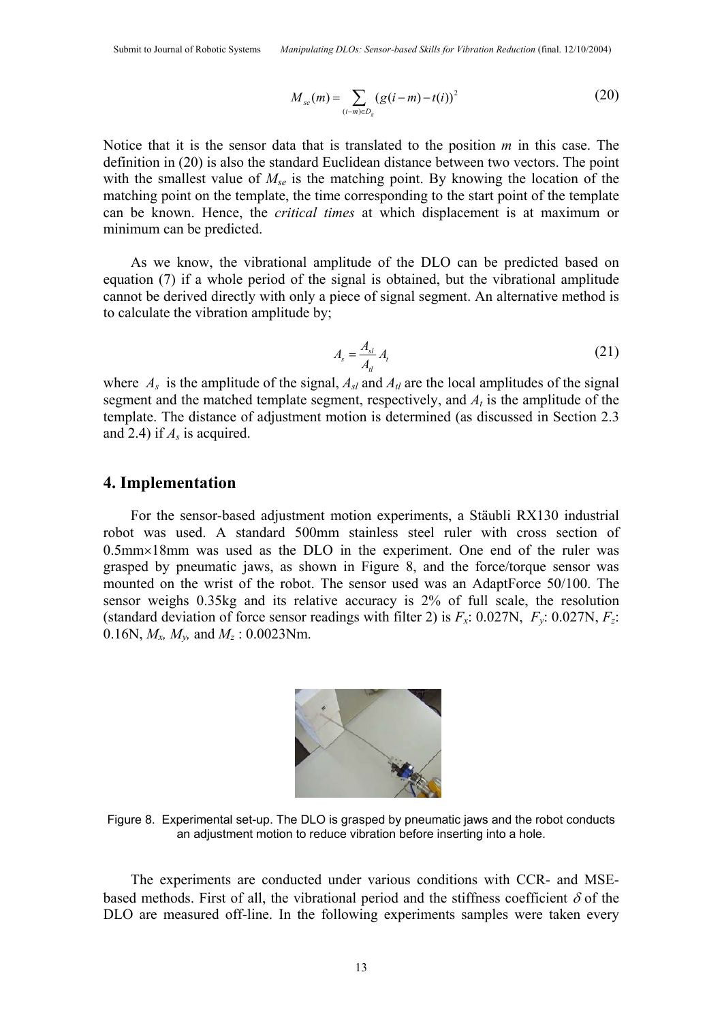$$
M_{se}(m) = \sum_{(i-m)\in D_g} (g(i-m) - t(i))^2
$$
 (20)

Notice that it is the sensor data that is translated to the position *m* in this case. The definition in (20) is also the standard Euclidean distance between two vectors. The point with the smallest value of  $M_{se}$  is the matching point. By knowing the location of the matching point on the template, the time corresponding to the start point of the template can be known. Hence, the *critical times* at which displacement is at maximum or minimum can be predicted.

As we know, the vibrational amplitude of the DLO can be predicted based on equation (7) if a whole period of the signal is obtained, but the vibrational amplitude cannot be derived directly with only a piece of signal segment. An alternative method is to calculate the vibration amplitude by;

$$
A_s = \frac{A_{sl}}{A_{ll}} A_l \tag{21}
$$

where  $A_s$  is the amplitude of the signal,  $A_{sl}$  and  $A_{tl}$  are the local amplitudes of the signal segment and the matched template segment, respectively, and  $A_t$  is the amplitude of the template. The distance of adjustment motion is determined (as discussed in Section 2.3 and 2.4) if *As* is acquired.

# **4. Implementation**

For the sensor-based adjustment motion experiments, a Stäubli RX130 industrial robot was used. A standard 500mm stainless steel ruler with cross section of 0.5mm×18mm was used as the DLO in the experiment. One end of the ruler was grasped by pneumatic jaws, as shown in Figure 8, and the force/torque sensor was mounted on the wrist of the robot. The sensor used was an AdaptForce 50/100. The sensor weighs 0.35kg and its relative accuracy is 2% of full scale, the resolution (standard deviation of force sensor readings with filter 2) is  $F_x$ : 0.027N,  $F_y$ : 0.027N,  $F_z$ : 0.16N,  $M_x$ ,  $M_y$ , and  $M_z$  : 0.0023Nm.



Figure 8. Experimental set-up. The DLO is grasped by pneumatic jaws and the robot conducts an adjustment motion to reduce vibration before inserting into a hole.

The experiments are conducted under various conditions with CCR- and MSEbased methods. First of all, the vibrational period and the stiffness coefficient  $\delta$  of the DLO are measured off-line. In the following experiments samples were taken every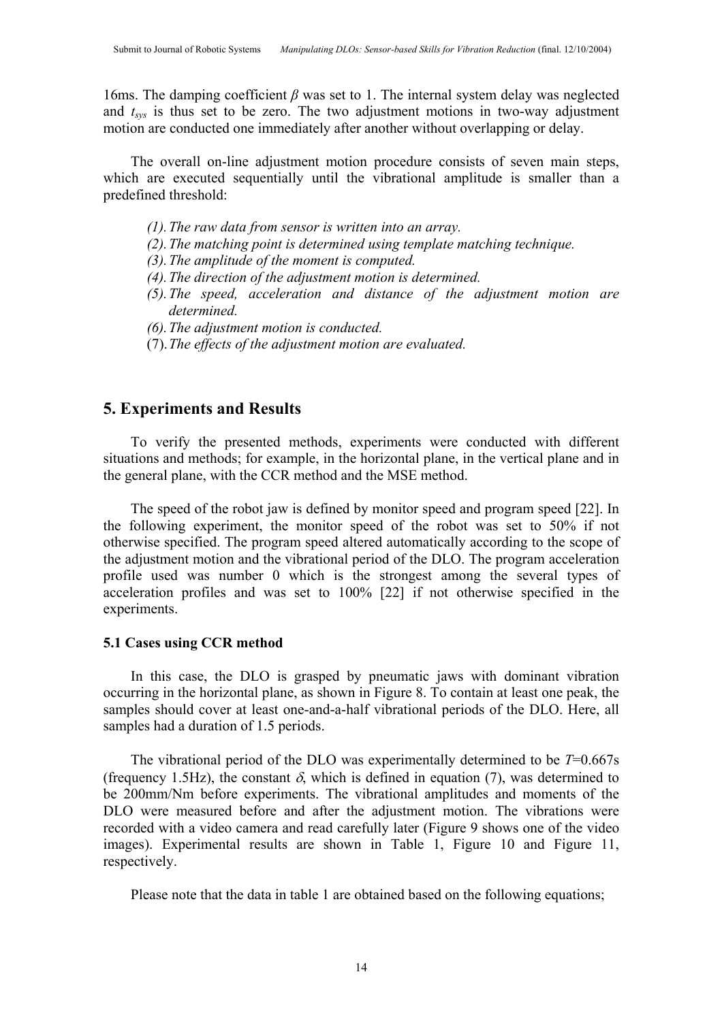16ms. The damping coefficient *β* was set to 1. The internal system delay was neglected and  $t_{sys}$  is thus set to be zero. The two adjustment motions in two-way adjustment motion are conducted one immediately after another without overlapping or delay.

The overall on-line adjustment motion procedure consists of seven main steps, which are executed sequentially until the vibrational amplitude is smaller than a predefined threshold:

- *(1).The raw data from sensor is written into an array.*
- *(2).The matching point is determined using template matching technique.*
- *(3).The amplitude of the moment is computed.*
- *(4).The direction of the adjustment motion is determined.*
- *(5).The speed, acceleration and distance of the adjustment motion are determined.*
- *(6).The adjustment motion is conducted.*
- (7).*The effects of the adjustment motion are evaluated.*

# **5. Experiments and Results**

To verify the presented methods, experiments were conducted with different situations and methods; for example, in the horizontal plane, in the vertical plane and in the general plane, with the CCR method and the MSE method.

The speed of the robot jaw is defined by monitor speed and program speed [22]. In the following experiment, the monitor speed of the robot was set to 50% if not otherwise specified. The program speed altered automatically according to the scope of the adjustment motion and the vibrational period of the DLO. The program acceleration profile used was number 0 which is the strongest among the several types of acceleration profiles and was set to 100% [22] if not otherwise specified in the experiments.

# **5.1 Cases using CCR method**

In this case, the DLO is grasped by pneumatic jaws with dominant vibration occurring in the horizontal plane, as shown in Figure 8. To contain at least one peak, the samples should cover at least one-and-a-half vibrational periods of the DLO. Here, all samples had a duration of 1.5 periods.

The vibrational period of the DLO was experimentally determined to be *T*=0.667s (frequency 1.5Hz), the constant  $\delta$ , which is defined in equation (7), was determined to be 200mm/Nm before experiments. The vibrational amplitudes and moments of the DLO were measured before and after the adjustment motion. The vibrations were recorded with a video camera and read carefully later (Figure 9 shows one of the video images). Experimental results are shown in Table 1, Figure 10 and Figure 11, respectively.

Please note that the data in table 1 are obtained based on the following equations;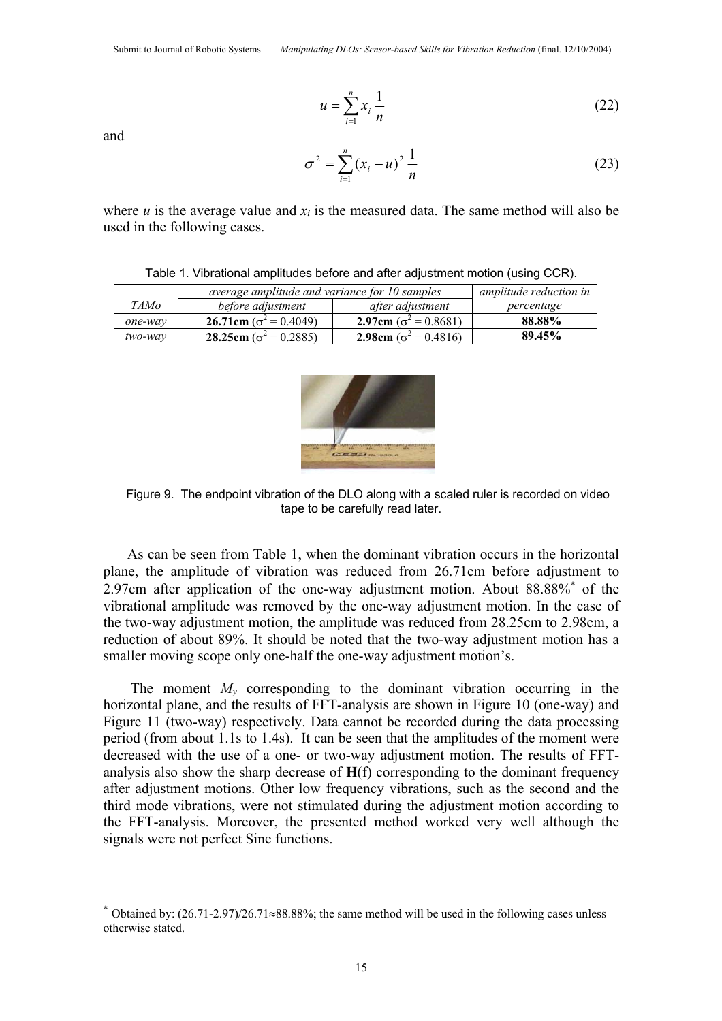$$
u = \sum_{i=1}^{n} x_i \frac{1}{n} \tag{22}
$$

and

 $\overline{a}$ 

$$
\sigma^2 = \sum_{i=1}^n (x_i - u)^2 \frac{1}{n}
$$
 (23)

where  $u$  is the average value and  $x_i$  is the measured data. The same method will also be used in the following cases.

|         | average amplitude and variance for 10 samples | amplitude reduction in               |            |
|---------|-----------------------------------------------|--------------------------------------|------------|
| TAMo    | before adjustment                             | after adjustment                     | percentage |
| one-way | 26.71cm ( $\sigma^2$ = 0.4049)                | 2.97cm ( $\sigma^2$ = 0.8681)        | 88.88%     |
| two-way | 28.25cm ( $\sigma^2$ = 0.2885)                | <b>2.98cm</b> ( $\sigma^2$ = 0.4816) | 89.45%     |

Table 1. Vibrational amplitudes before and after adjustment motion (using CCR).



Figure 9. The endpoint vibration of the DLO along with a scaled ruler is recorded on video tape to be carefully read later.

As can be seen from Table 1, when the dominant vibration occurs in the horizontal plane, the amplitude of vibration was reduced from 26.71cm before adjustment to 2.97cm after application of the one-way adjustment motion. About 88.88%<sup>\*</sup> of the vibrational amplitude was removed by the one-way adjustment motion. In the case of the two-way adjustment motion, the amplitude was reduced from 28.25cm to 2.98cm, a reduction of about 89%. It should be noted that the two-way adjustment motion has a smaller moving scope only one-half the one-way adjustment motion's.

The moment  $M_v$  corresponding to the dominant vibration occurring in the horizontal plane, and the results of FFT-analysis are shown in Figure 10 (one-way) and Figure 11 (two-way) respectively. Data cannot be recorded during the data processing period (from about 1.1s to 1.4s). It can be seen that the amplitudes of the moment were decreased with the use of a one- or two-way adjustment motion. The results of FFTanalysis also show the sharp decrease of **H**(f) corresponding to the dominant frequency after adjustment motions. Other low frequency vibrations, such as the second and the third mode vibrations, were not stimulated during the adjustment motion according to the FFT-analysis. Moreover, the presented method worked very well although the signals were not perfect Sine functions.

<sup>∗</sup> Obtained by: (26.71-2.97)/26.71≈88.88%; the same method will be used in the following cases unless otherwise stated.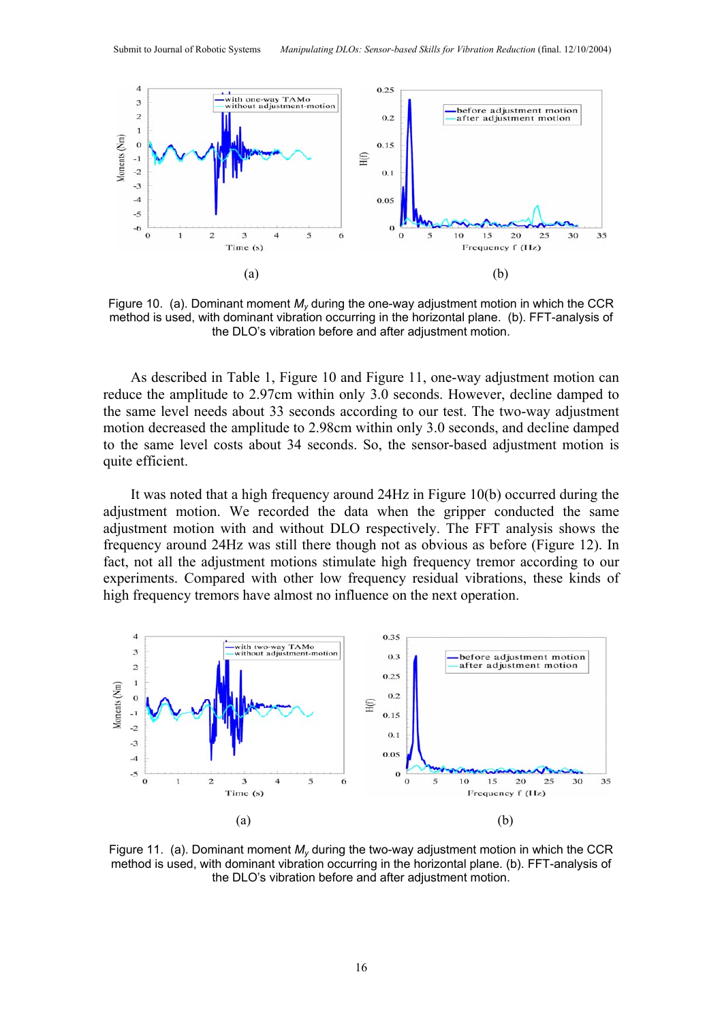

Figure 10. (a). Dominant moment  $M_v$  during the one-way adjustment motion in which the CCR method is used, with dominant vibration occurring in the horizontal plane. (b). FFT-analysis of the DLO's vibration before and after adjustment motion.

As described in Table 1, Figure 10 and Figure 11, one-way adjustment motion can reduce the amplitude to 2.97cm within only 3.0 seconds. However, decline damped to the same level needs about 33 seconds according to our test. The two-way adjustment motion decreased the amplitude to 2.98cm within only 3.0 seconds, and decline damped to the same level costs about 34 seconds. So, the sensor-based adjustment motion is quite efficient.

It was noted that a high frequency around 24Hz in Figure 10(b) occurred during the adjustment motion. We recorded the data when the gripper conducted the same adjustment motion with and without DLO respectively. The FFT analysis shows the frequency around 24Hz was still there though not as obvious as before (Figure 12). In fact, not all the adjustment motions stimulate high frequency tremor according to our experiments. Compared with other low frequency residual vibrations, these kinds of high frequency tremors have almost no influence on the next operation.



Figure 11. (a). Dominant moment *My* during the two-way adjustment motion in which the CCR method is used, with dominant vibration occurring in the horizontal plane. (b). FFT-analysis of the DLO's vibration before and after adjustment motion.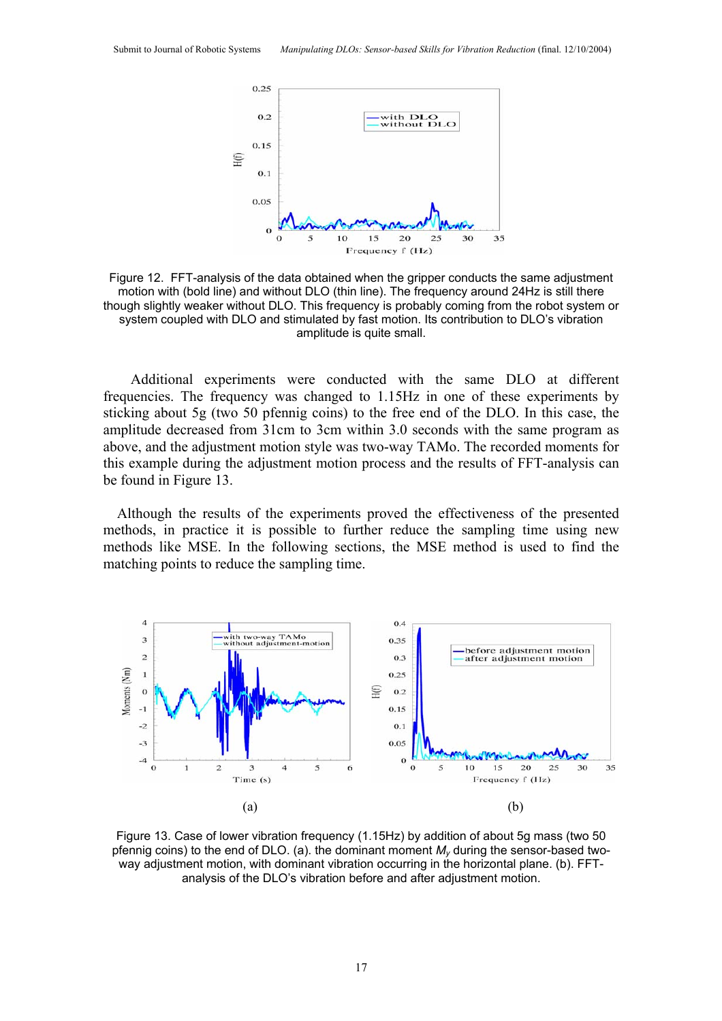

Figure 12. FFT-analysis of the data obtained when the gripper conducts the same adjustment motion with (bold line) and without DLO (thin line). The frequency around 24Hz is still there though slightly weaker without DLO. This frequency is probably coming from the robot system or system coupled with DLO and stimulated by fast motion. Its contribution to DLO's vibration amplitude is quite small.

Additional experiments were conducted with the same DLO at different frequencies. The frequency was changed to 1.15Hz in one of these experiments by sticking about 5g (two 50 pfennig coins) to the free end of the DLO. In this case, the amplitude decreased from 31cm to 3cm within 3.0 seconds with the same program as above, and the adjustment motion style was two-way TAMo. The recorded moments for this example during the adjustment motion process and the results of FFT-analysis can be found in Figure 13.

Although the results of the experiments proved the effectiveness of the presented methods, in practice it is possible to further reduce the sampling time using new methods like MSE. In the following sections, the MSE method is used to find the matching points to reduce the sampling time.



Figure 13. Case of lower vibration frequency (1.15Hz) by addition of about 5g mass (two 50 pfennig coins) to the end of DLO. (a). the dominant moment *My* during the sensor-based twoway adjustment motion, with dominant vibration occurring in the horizontal plane. (b). FFTanalysis of the DLO's vibration before and after adjustment motion.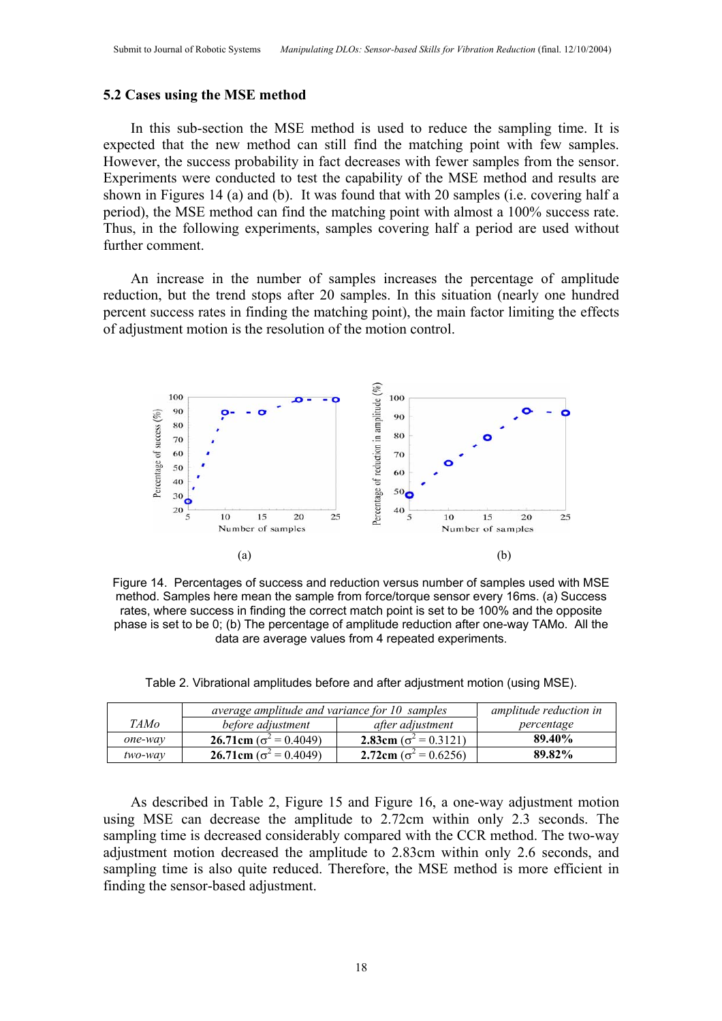#### **5.2 Cases using the MSE method**

In this sub-section the MSE method is used to reduce the sampling time. It is expected that the new method can still find the matching point with few samples. However, the success probability in fact decreases with fewer samples from the sensor. Experiments were conducted to test the capability of the MSE method and results are shown in Figures 14 (a) and (b). It was found that with 20 samples (i.e. covering half a period), the MSE method can find the matching point with almost a 100% success rate. Thus, in the following experiments, samples covering half a period are used without further comment.

An increase in the number of samples increases the percentage of amplitude reduction, but the trend stops after 20 samples. In this situation (nearly one hundred percent success rates in finding the matching point), the main factor limiting the effects of adjustment motion is the resolution of the motion control.



Figure 14. Percentages of success and reduction versus number of samples used with MSE method. Samples here mean the sample from force/torque sensor every 16ms. (a) Success rates, where success in finding the correct match point is set to be 100% and the opposite phase is set to be 0; (b) The percentage of amplitude reduction after one-way TAMo. All the data are average values from 4 repeated experiments.

Table 2. Vibrational amplitudes before and after adjustment motion (using MSE).

|         | average amplitude and variance for 10 samples | amplitude reduction in        |            |
|---------|-----------------------------------------------|-------------------------------|------------|
| TAMo    | before adjustment                             | after adjustment              | percentage |
| one-way | 26.71cm ( $\sigma^2$ = 0.4049)                | 2.83cm ( $\sigma^2$ = 0.3121) | 89.40%     |
| two-way | 26.71cm ( $\sigma^2$ = 0.4049)                | 2.72cm ( $\sigma^2$ = 0.6256) | 89.82%     |

As described in Table 2, Figure 15 and Figure 16, a one-way adjustment motion using MSE can decrease the amplitude to 2.72cm within only 2.3 seconds. The sampling time is decreased considerably compared with the CCR method. The two-way adjustment motion decreased the amplitude to 2.83cm within only 2.6 seconds, and sampling time is also quite reduced. Therefore, the MSE method is more efficient in finding the sensor-based adjustment.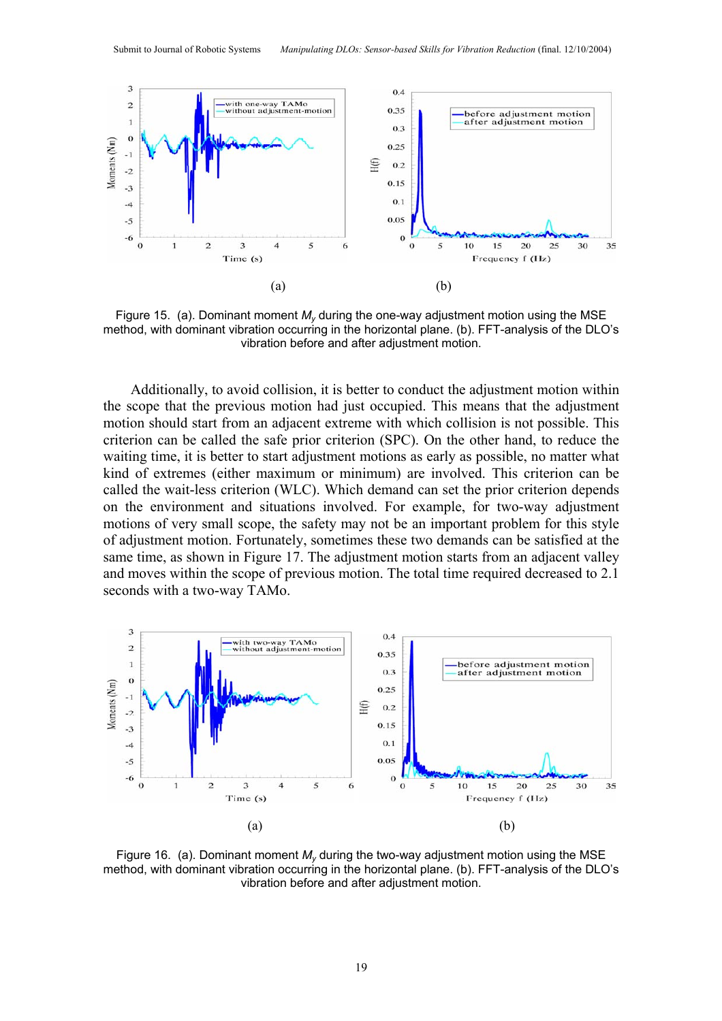

Figure 15. (a). Dominant moment  $M_{\nu}$  during the one-way adjustment motion using the MSE method, with dominant vibration occurring in the horizontal plane. (b). FFT-analysis of the DLO's vibration before and after adjustment motion.

Additionally, to avoid collision, it is better to conduct the adjustment motion within the scope that the previous motion had just occupied. This means that the adjustment motion should start from an adjacent extreme with which collision is not possible. This criterion can be called the safe prior criterion (SPC). On the other hand, to reduce the waiting time, it is better to start adjustment motions as early as possible, no matter what kind of extremes (either maximum or minimum) are involved. This criterion can be called the wait-less criterion (WLC). Which demand can set the prior criterion depends on the environment and situations involved. For example, for two-way adjustment motions of very small scope, the safety may not be an important problem for this style of adjustment motion. Fortunately, sometimes these two demands can be satisfied at the same time, as shown in Figure 17. The adjustment motion starts from an adjacent valley and moves within the scope of previous motion. The total time required decreased to 2.1 seconds with a two-way TAMo.



Figure 16. (a). Dominant moment  $M<sub>v</sub>$  during the two-way adjustment motion using the MSE method, with dominant vibration occurring in the horizontal plane. (b). FFT-analysis of the DLO's vibration before and after adjustment motion.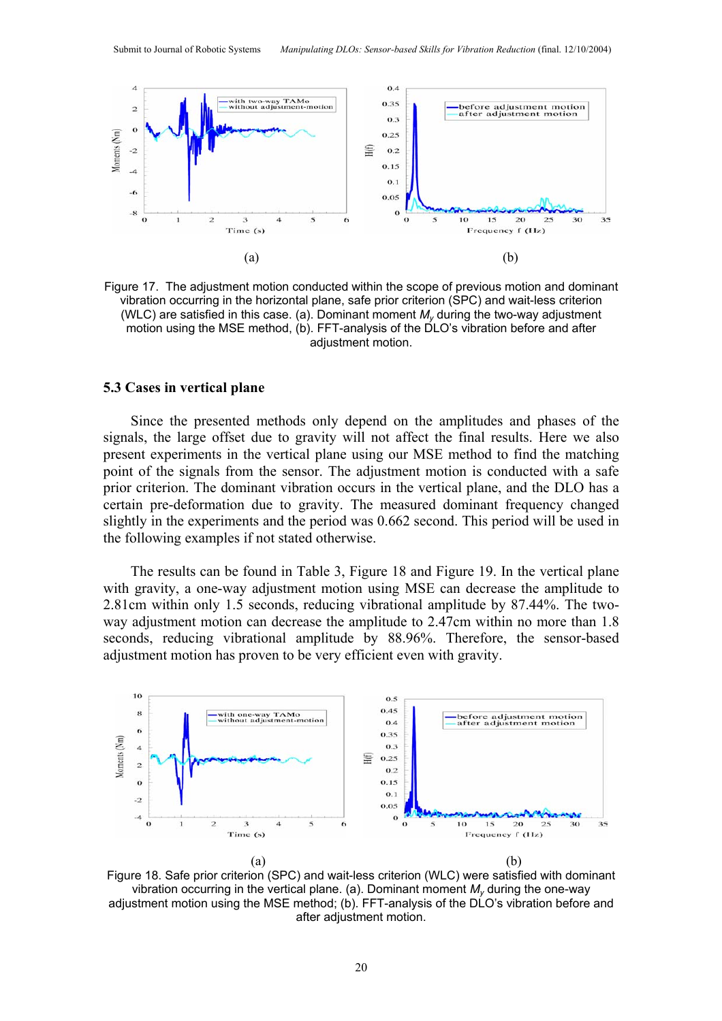

Figure 17. The adjustment motion conducted within the scope of previous motion and dominant vibration occurring in the horizontal plane, safe prior criterion (SPC) and wait-less criterion (WLC) are satisfied in this case. (a). Dominant moment *My* during the two-way adjustment motion using the MSE method, (b). FFT-analysis of the DLO's vibration before and after adiustment motion.

#### **5.3 Cases in vertical plane**

Since the presented methods only depend on the amplitudes and phases of the signals, the large offset due to gravity will not affect the final results. Here we also present experiments in the vertical plane using our MSE method to find the matching point of the signals from the sensor. The adjustment motion is conducted with a safe prior criterion. The dominant vibration occurs in the vertical plane, and the DLO has a certain pre-deformation due to gravity. The measured dominant frequency changed slightly in the experiments and the period was 0.662 second. This period will be used in the following examples if not stated otherwise.

The results can be found in Table 3, Figure 18 and Figure 19. In the vertical plane with gravity, a one-way adjustment motion using MSE can decrease the amplitude to 2.81cm within only 1.5 seconds, reducing vibrational amplitude by 87.44%. The twoway adjustment motion can decrease the amplitude to 2.47cm within no more than 1.8 seconds, reducing vibrational amplitude by 88.96%. Therefore, the sensor-based adjustment motion has proven to be very efficient even with gravity.



Figure 18. Safe prior criterion (SPC) and wait-less criterion (WLC) were satisfied with dominant vibration occurring in the vertical plane. (a). Dominant moment  $M<sub>v</sub>$  during the one-way adjustment motion using the MSE method; (b). FFT-analysis of the DLO's vibration before and after adjustment motion.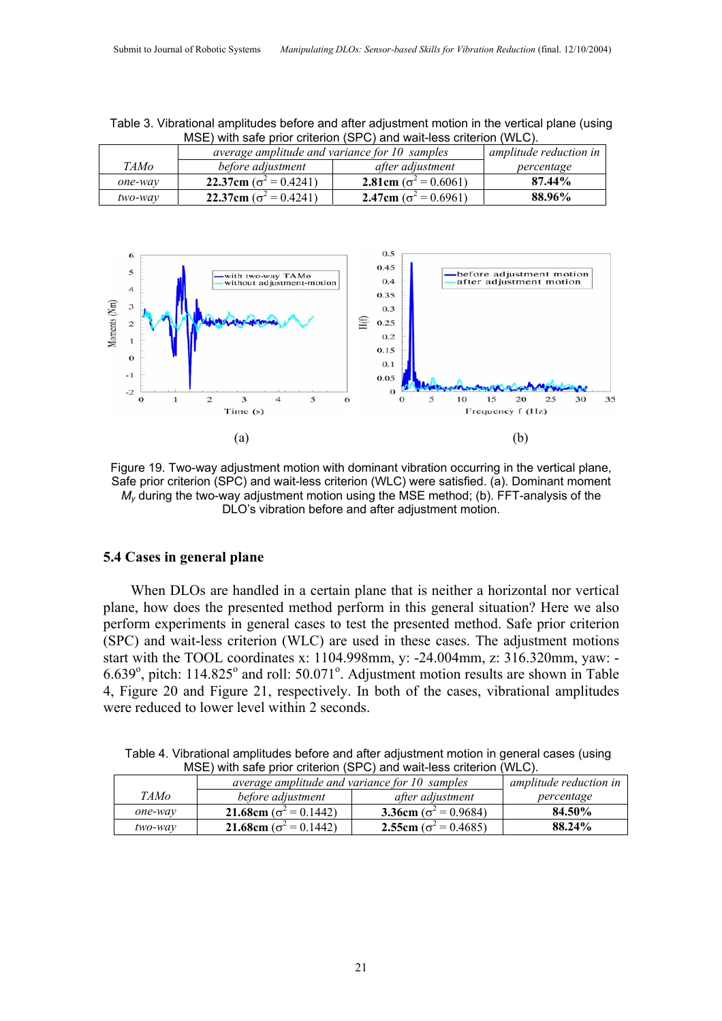|         | average amplitude and variance for 10 samples | amplitude reduction in        |            |
|---------|-----------------------------------------------|-------------------------------|------------|
| TAMo    | before adjustment                             | after adjustment              | percentage |
| one-way | 22.37cm ( $\sigma^2$ = 0.4241)                | 2.81cm ( $\sigma^2$ = 0.6061) | 87.44%     |
| two-way | 22.37cm ( $\sigma^2$ = 0.4241)                | 2.47cm ( $\sigma^2$ = 0.6961) | 88.96%     |

Table 3. Vibrational amplitudes before and after adjustment motion in the vertical plane (using MSE) with safe prior criterion (SPC) and wait-less criterion (WLC).



Figure 19. Two-way adjustment motion with dominant vibration occurring in the vertical plane, Safe prior criterion (SPC) and wait-less criterion (WLC) were satisfied. (a). Dominant moment *My* during the two-way adjustment motion using the MSE method; (b). FFT-analysis of the DLO's vibration before and after adjustment motion.

## **5.4 Cases in general plane**

When DLOs are handled in a certain plane that is neither a horizontal nor vertical plane, how does the presented method perform in this general situation? Here we also perform experiments in general cases to test the presented method. Safe prior criterion (SPC) and wait-less criterion (WLC) are used in these cases. The adjustment motions start with the TOOL coordinates x: 1104.998mm, y: -24.004mm, z: 316.320mm, yaw: -  $6.639^{\circ}$ , pitch: 114.825 $^{\circ}$  and roll: 50.071 $^{\circ}$ . Adjustment motion results are shown in Table 4, Figure 20 and Figure 21, respectively. In both of the cases, vibrational amplitudes were reduced to lower level within 2 seconds.

|             | $MOL$ , with said prior chichon (or $C$ ) and wait-less chichon (vvL $C$ ). |                               |            |
|-------------|-----------------------------------------------------------------------------|-------------------------------|------------|
|             | average amplitude and variance for 10 samples                               | amplitude reduction in        |            |
| <i>TAMo</i> | before adjustment                                                           | after adjustment              | percentage |
| one-way     | <b>21.68cm</b> ( $\sigma^2 = 0.1442$ )                                      | 3.36cm ( $\sigma^2$ = 0.9684) | 84.50%     |
| two-way     | <b>21.68cm</b> ( $\sigma^2$ = 0.1442)                                       | 2.55cm ( $\sigma^2$ = 0.4685) | 88.24%     |

Table 4. Vibrational amplitudes before and after adjustment motion in general cases (using MSE) with safe prior criterion (SPC) and wait-less criterion (WLC).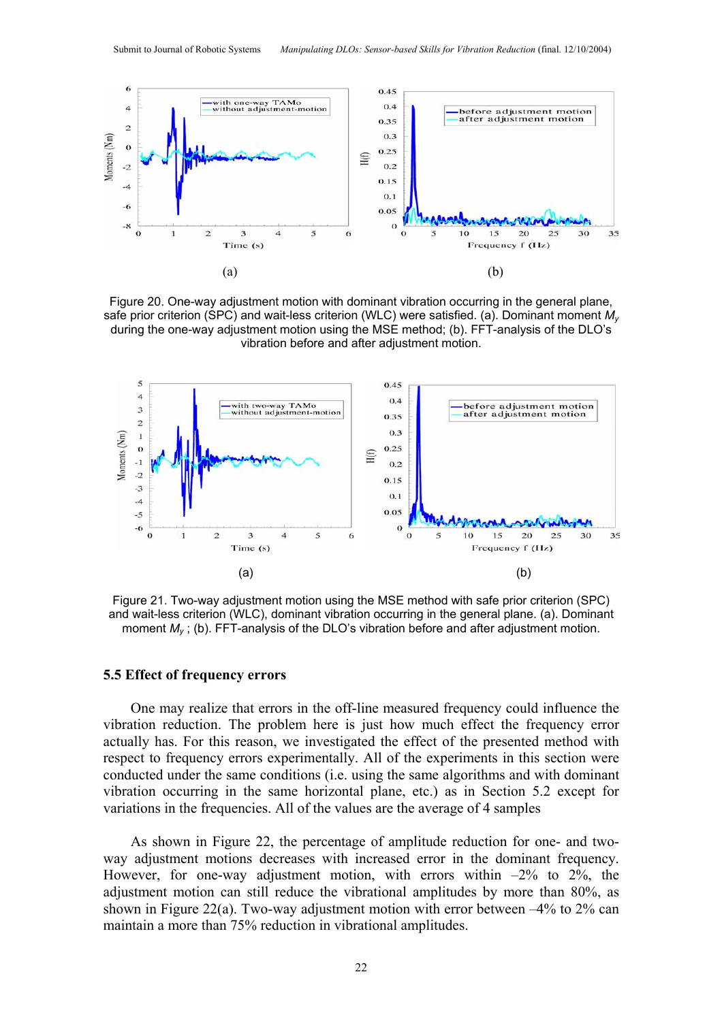

Figure 20. One-way adjustment motion with dominant vibration occurring in the general plane, safe prior criterion (SPC) and wait-less criterion (WLC) were satisfied. (a). Dominant moment *My* during the one-way adjustment motion using the MSE method; (b). FFT-analysis of the DLO's vibration before and after adjustment motion.



Figure 21. Two-way adjustment motion using the MSE method with safe prior criterion (SPC) and wait-less criterion (WLC), dominant vibration occurring in the general plane. (a). Dominant moment *My* ; (b). FFT-analysis of the DLO's vibration before and after adjustment motion.

## **5.5 Effect of frequency errors**

One may realize that errors in the off-line measured frequency could influence the vibration reduction. The problem here is just how much effect the frequency error actually has. For this reason, we investigated the effect of the presented method with respect to frequency errors experimentally. All of the experiments in this section were conducted under the same conditions (i.e. using the same algorithms and with dominant vibration occurring in the same horizontal plane, etc.) as in Section 5.2 except for variations in the frequencies. All of the values are the average of 4 samples

As shown in Figure 22, the percentage of amplitude reduction for one- and twoway adjustment motions decreases with increased error in the dominant frequency. However, for one-way adjustment motion, with errors within  $-2\%$  to  $2\%$ , the adjustment motion can still reduce the vibrational amplitudes by more than 80%, as shown in Figure 22(a). Two-way adjustment motion with error between –4% to 2% can maintain a more than 75% reduction in vibrational amplitudes.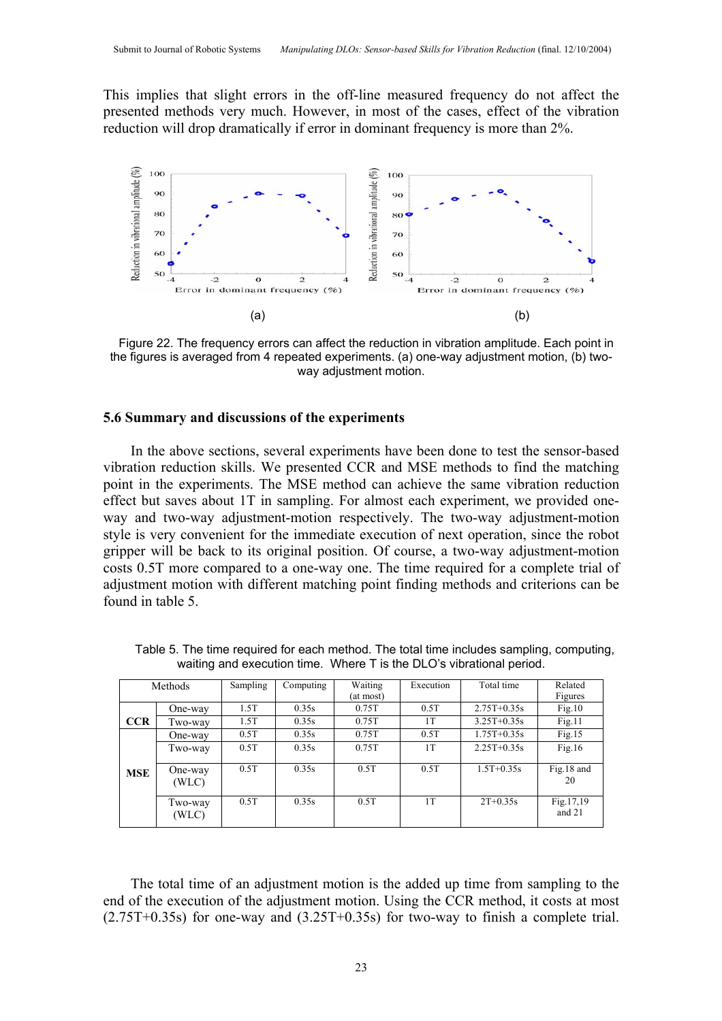This implies that slight errors in the off-line measured frequency do not affect the presented methods very much. However, in most of the cases, effect of the vibration reduction will drop dramatically if error in dominant frequency is more than 2%.



Figure 22. The frequency errors can affect the reduction in vibration amplitude. Each point in the figures is averaged from 4 repeated experiments. (a) one-way adjustment motion, (b) twoway adjustment motion.

# **5.6 Summary and discussions of the experiments**

In the above sections, several experiments have been done to test the sensor-based vibration reduction skills. We presented CCR and MSE methods to find the matching point in the experiments. The MSE method can achieve the same vibration reduction effect but saves about 1T in sampling. For almost each experiment, we provided oneway and two-way adjustment-motion respectively. The two-way adjustment-motion style is very convenient for the immediate execution of next operation, since the robot gripper will be back to its original position. Of course, a two-way adjustment-motion costs 0.5T more compared to a one-way one. The time required for a complete trial of adjustment motion with different matching point finding methods and criterions can be found in table 5.

| Methods    |                  | Sampling | Computing | Waiting<br>(at most) | Execution | Total time    | Related<br>Figures  |
|------------|------------------|----------|-----------|----------------------|-----------|---------------|---------------------|
|            | One-way          | 1.5T     | 0.35s     | 0.75T                | 0.5T      | $2.75T+0.35s$ | Fig.10              |
| <b>CCR</b> | Two-way          | 1.5T     | 0.35s     | 0.75T                | 1T        | $3.25T+0.35s$ | Fig.11              |
|            | One-way          | 0.5T     | 0.35s     | 0.75T                | 0.5T      | $1.75T+0.35s$ | Fig.15              |
|            | Two-way          | 0.5T     | 0.35s     | 0.75T                | 1T        | $2.25T+0.35s$ | Fig.16              |
| <b>MSE</b> | One-way<br>(WLC) | 0.5T     | 0.35s     | 0.5T                 | 0.5T      | $1.5T+0.35s$  | Fig.18 and<br>20    |
|            | Two-way<br>(WLC) | 0.5T     | 0.35s     | 0.5T                 | 1T        | $2T+0.35s$    | Fig.17,19<br>and 21 |

Table 5. The time required for each method. The total time includes sampling, computing, waiting and execution time. Where T is the DLO's vibrational period.

The total time of an adjustment motion is the added up time from sampling to the end of the execution of the adjustment motion. Using the CCR method, it costs at most (2.75T+0.35s) for one-way and (3.25T+0.35s) for two-way to finish a complete trial.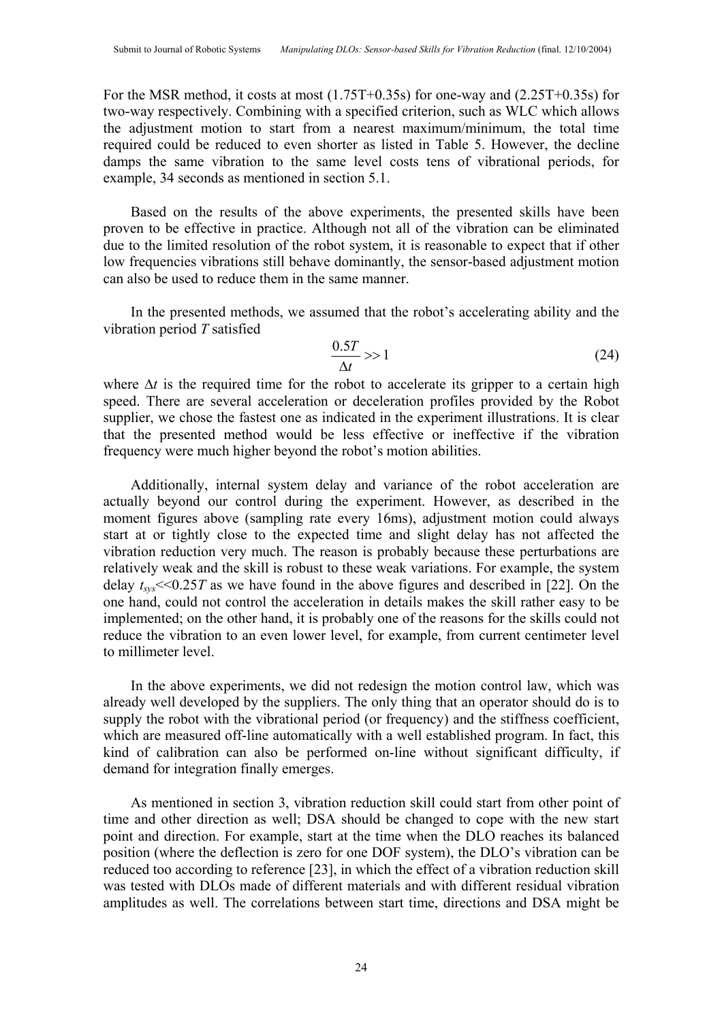For the MSR method, it costs at most (1.75T+0.35s) for one-way and (2.25T+0.35s) for two-way respectively. Combining with a specified criterion, such as WLC which allows the adjustment motion to start from a nearest maximum/minimum, the total time required could be reduced to even shorter as listed in Table 5. However, the decline damps the same vibration to the same level costs tens of vibrational periods, for example, 34 seconds as mentioned in section 5.1.

Based on the results of the above experiments, the presented skills have been proven to be effective in practice. Although not all of the vibration can be eliminated due to the limited resolution of the robot system, it is reasonable to expect that if other low frequencies vibrations still behave dominantly, the sensor-based adjustment motion can also be used to reduce them in the same manner.

In the presented methods, we assumed that the robot's accelerating ability and the vibration period *T* satisfied

$$
\frac{0.5T}{\Delta t} >> 1 \tag{24}
$$

where  $\Delta t$  is the required time for the robot to accelerate its gripper to a certain high speed. There are several acceleration or deceleration profiles provided by the Robot supplier, we chose the fastest one as indicated in the experiment illustrations. It is clear that the presented method would be less effective or ineffective if the vibration frequency were much higher beyond the robot's motion abilities.

Additionally, internal system delay and variance of the robot acceleration are actually beyond our control during the experiment. However, as described in the moment figures above (sampling rate every 16ms), adjustment motion could always start at or tightly close to the expected time and slight delay has not affected the vibration reduction very much. The reason is probably because these perturbations are relatively weak and the skill is robust to these weak variations. For example, the system delay  $t_{\text{cyc}} \leq 0.25T$  as we have found in the above figures and described in [22]. On the one hand, could not control the acceleration in details makes the skill rather easy to be implemented; on the other hand, it is probably one of the reasons for the skills could not reduce the vibration to an even lower level, for example, from current centimeter level to millimeter level.

In the above experiments, we did not redesign the motion control law, which was already well developed by the suppliers. The only thing that an operator should do is to supply the robot with the vibrational period (or frequency) and the stiffness coefficient, which are measured off-line automatically with a well established program. In fact, this kind of calibration can also be performed on-line without significant difficulty, if demand for integration finally emerges.

As mentioned in section 3, vibration reduction skill could start from other point of time and other direction as well; DSA should be changed to cope with the new start point and direction. For example, start at the time when the DLO reaches its balanced position (where the deflection is zero for one DOF system), the DLO's vibration can be reduced too according to reference [23], in which the effect of a vibration reduction skill was tested with DLOs made of different materials and with different residual vibration amplitudes as well. The correlations between start time, directions and DSA might be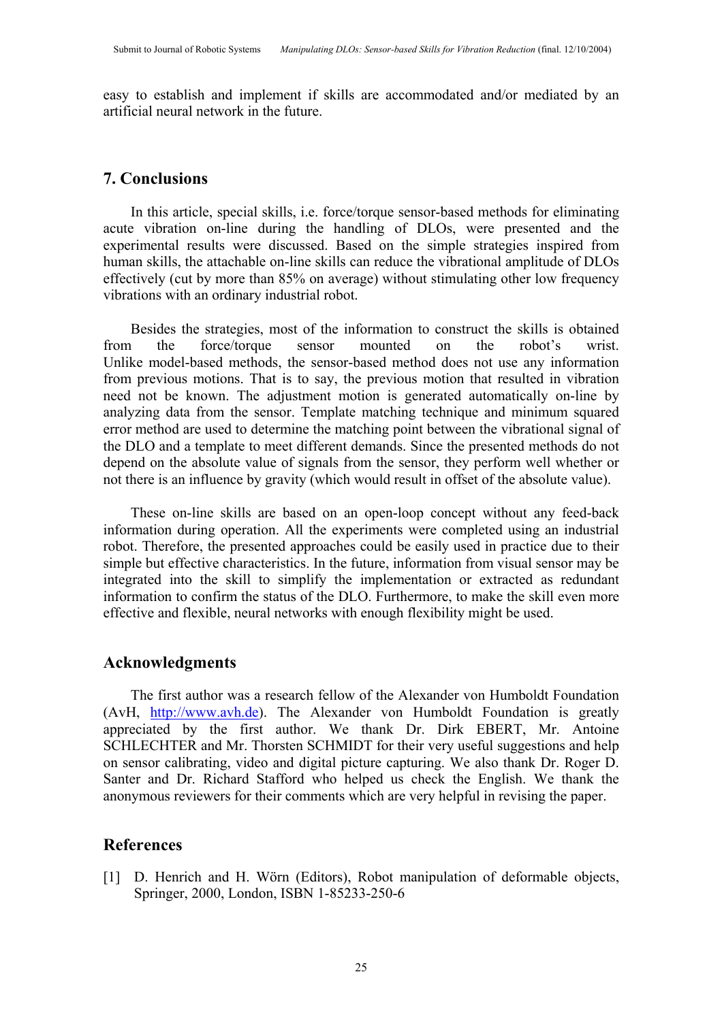easy to establish and implement if skills are accommodated and/or mediated by an artificial neural network in the future.

# **7. Conclusions**

In this article, special skills, i.e. force/torque sensor-based methods for eliminating acute vibration on-line during the handling of DLOs, were presented and the experimental results were discussed. Based on the simple strategies inspired from human skills, the attachable on-line skills can reduce the vibrational amplitude of DLOs effectively (cut by more than 85% on average) without stimulating other low frequency vibrations with an ordinary industrial robot.

Besides the strategies, most of the information to construct the skills is obtained from the force/torque sensor mounted on the robot's wrist. Unlike model-based methods, the sensor-based method does not use any information from previous motions. That is to say, the previous motion that resulted in vibration need not be known. The adjustment motion is generated automatically on-line by analyzing data from the sensor. Template matching technique and minimum squared error method are used to determine the matching point between the vibrational signal of the DLO and a template to meet different demands. Since the presented methods do not depend on the absolute value of signals from the sensor, they perform well whether or not there is an influence by gravity (which would result in offset of the absolute value).

These on-line skills are based on an open-loop concept without any feed-back information during operation. All the experiments were completed using an industrial robot. Therefore, the presented approaches could be easily used in practice due to their simple but effective characteristics. In the future, information from visual sensor may be integrated into the skill to simplify the implementation or extracted as redundant information to confirm the status of the DLO. Furthermore, to make the skill even more effective and flexible, neural networks with enough flexibility might be used.

# **Acknowledgments**

The first author was a research fellow of the Alexander von Humboldt Foundation (AvH, http://www.avh.de). The Alexander von Humboldt Foundation is greatly appreciated by the first author. We thank Dr. Dirk EBERT, Mr. Antoine SCHLECHTER and Mr. Thorsten SCHMIDT for their very useful suggestions and help on sensor calibrating, video and digital picture capturing. We also thank Dr. Roger D. Santer and Dr. Richard Stafford who helped us check the English. We thank the anonymous reviewers for their comments which are very helpful in revising the paper.

# **References**

[1] D. Henrich and H. Wörn (Editors), Robot manipulation of deformable objects, Springer, 2000, London, ISBN 1-85233-250-6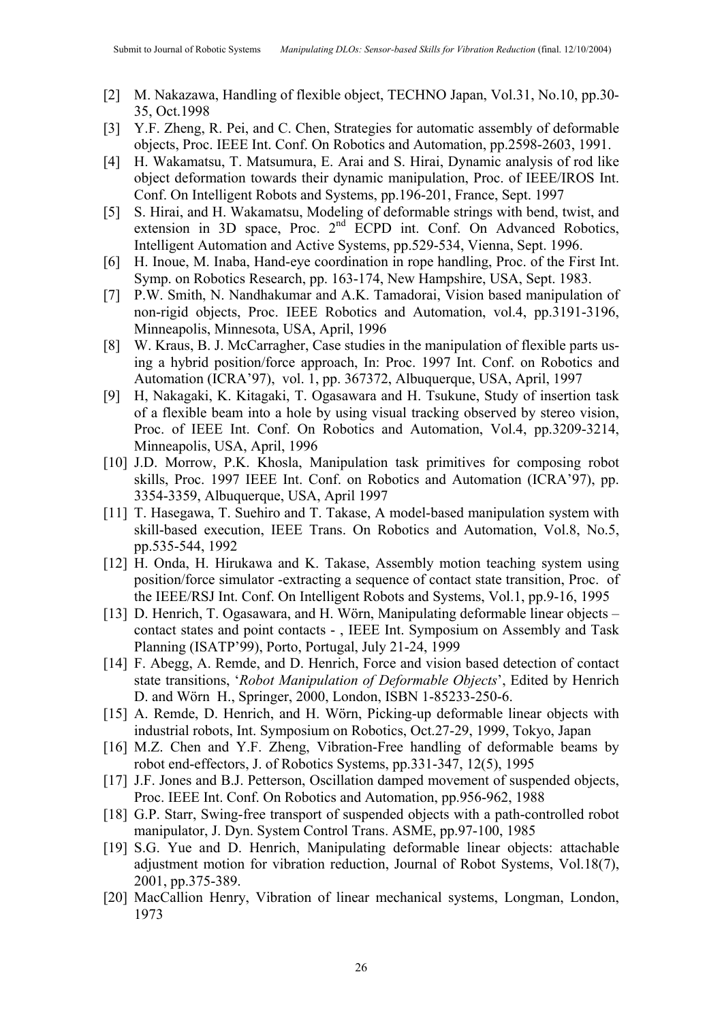- [2] M. Nakazawa, Handling of flexible object, TECHNO Japan, Vol.31, No.10, pp.30- 35, Oct.1998
- [3] Y.F. Zheng, R. Pei, and C. Chen, Strategies for automatic assembly of deformable objects, Proc. IEEE Int. Conf. On Robotics and Automation, pp.2598-2603, 1991.
- [4] H. Wakamatsu, T. Matsumura, E. Arai and S. Hirai, Dynamic analysis of rod like object deformation towards their dynamic manipulation, Proc. of IEEE/IROS Int. Conf. On Intelligent Robots and Systems, pp.196-201, France, Sept. 1997
- [5] S. Hirai, and H. Wakamatsu, Modeling of deformable strings with bend, twist, and extension in 3D space, Proc. 2<sup>nd</sup> ECPD int. Conf. On Advanced Robotics, Intelligent Automation and Active Systems, pp.529-534, Vienna, Sept. 1996.
- [6] H. Inoue, M. Inaba, Hand-eye coordination in rope handling, Proc. of the First Int. Symp. on Robotics Research, pp. 163-174, New Hampshire, USA, Sept. 1983.
- [7] P.W. Smith, N. Nandhakumar and A.K. Tamadorai, Vision based manipulation of non-rigid objects, Proc. IEEE Robotics and Automation, vol.4, pp.3191-3196, Minneapolis, Minnesota, USA, April, 1996
- [8] W. Kraus, B. J. McCarragher, Case studies in the manipulation of flexible parts using a hybrid position/force approach, In: Proc. 1997 Int. Conf. on Robotics and Automation (ICRA'97), vol. 1, pp. 367372, Albuquerque, USA, April, 1997
- [9] H, Nakagaki, K. Kitagaki, T. Ogasawara and H. Tsukune, Study of insertion task of a flexible beam into a hole by using visual tracking observed by stereo vision, Proc. of IEEE Int. Conf. On Robotics and Automation, Vol.4, pp.3209-3214, Minneapolis, USA, April, 1996
- [10] J.D. Morrow, P.K. Khosla, Manipulation task primitives for composing robot skills, Proc. 1997 IEEE Int. Conf. on Robotics and Automation (ICRA'97), pp. 3354-3359, Albuquerque, USA, April 1997
- [11] T. Hasegawa, T. Suehiro and T. Takase, A model-based manipulation system with skill-based execution, IEEE Trans. On Robotics and Automation, Vol.8, No.5, pp.535-544, 1992
- [12] H. Onda, H. Hirukawa and K. Takase, Assembly motion teaching system using position/force simulator -extracting a sequence of contact state transition, Proc. of the IEEE/RSJ Int. Conf. On Intelligent Robots and Systems, Vol.1, pp.9-16, 1995
- [13] D. Henrich, T. Ogasawara, and H. Wörn, Manipulating deformable linear objects contact states and point contacts - , IEEE Int. Symposium on Assembly and Task Planning (ISATP'99), Porto, Portugal, July 21-24, 1999
- [14] F. Abegg, A. Remde, and D. Henrich, Force and vision based detection of contact state transitions, '*Robot Manipulation of Deformable Objects*', Edited by Henrich D. and Wörn H., Springer, 2000, London, ISBN 1-85233-250-6.
- [15] A. Remde, D. Henrich, and H. Wörn, Picking-up deformable linear objects with industrial robots, Int. Symposium on Robotics, Oct.27-29, 1999, Tokyo, Japan
- [16] M.Z. Chen and Y.F. Zheng, Vibration-Free handling of deformable beams by robot end-effectors, J. of Robotics Systems, pp.331-347, 12(5), 1995
- [17] J.F. Jones and B.J. Petterson, Oscillation damped movement of suspended objects, Proc. IEEE Int. Conf. On Robotics and Automation, pp.956-962, 1988
- [18] G.P. Starr, Swing-free transport of suspended objects with a path-controlled robot manipulator, J. Dyn. System Control Trans. ASME, pp.97-100, 1985
- [19] S.G. Yue and D. Henrich, Manipulating deformable linear objects: attachable adjustment motion for vibration reduction, Journal of Robot Systems, Vol.18(7), 2001, pp.375-389.
- [20] MacCallion Henry, Vibration of linear mechanical systems, Longman, London, 1973